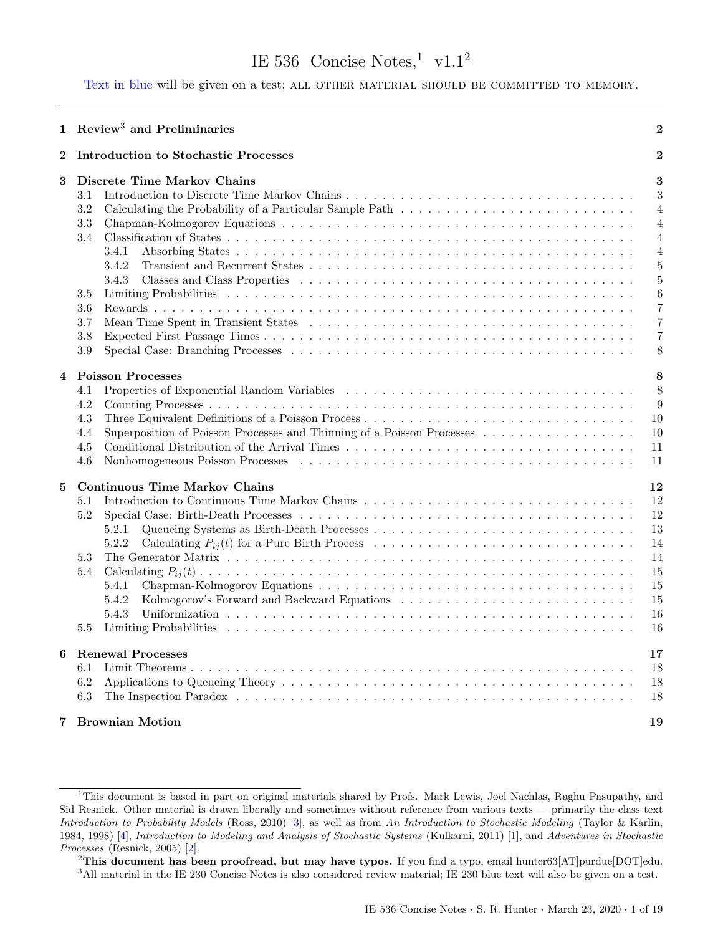# IE 536 Concise Notes,  $\frac{1}{1}$  $\frac{1}{1}$  $\frac{1}{1}$  v1.1<sup>[2](#page-0-1)</sup>

<span id="page-0-3"></span>Text in blue will be given on a test; ALL OTHER MATERIAL SHOULD BE COMMITTED TO MEMORY.

|          | 1 Review <sup>3</sup> and Preliminaries                                                                                                                                                                                                                                                                                                                                                         | $\overline{2}$                                                                          |
|----------|-------------------------------------------------------------------------------------------------------------------------------------------------------------------------------------------------------------------------------------------------------------------------------------------------------------------------------------------------------------------------------------------------|-----------------------------------------------------------------------------------------|
| $\bf{2}$ | <b>Introduction to Stochastic Processes</b>                                                                                                                                                                                                                                                                                                                                                     | $\bf{2}$                                                                                |
| 3        | Discrete Time Markov Chains<br>3.1<br>3.2<br>3.3<br>3.4<br>3.4.1<br>3.4.2<br>3.4.3<br>3.5<br>$3.6\,$<br>3.7<br>Mean Time Spent in Transient States (a) respectively and the set of the set of $\alpha$ is a set of $\alpha$ is a set of $\alpha$ is a set of $\alpha$ is a set of $\alpha$ is a set of $\alpha$ is a set of $\alpha$ is a set of $\alpha$ is a set of $\alpha$ is<br>3.8<br>3.9 | 3<br>3<br>4<br>4<br>4<br>$\overline{4}$<br>$\overline{5}$<br>5<br>6<br>7<br>7<br>7<br>8 |
| 4        | <b>Poisson Processes</b><br>4.1<br>4.2<br>4.3<br>Superposition of Poisson Processes and Thinning of a Poisson Processes<br>4.4<br>4.5<br>4.6<br>Nonhomogeneous Poisson Processes (a) result is a series of the series of the series of the series of the series of the series of the series of the series of the series of the series of the series of the series of the serie                  | 8<br>8<br>9<br>10<br>10<br>11<br>11                                                     |
| 5        | <b>Continuous Time Markov Chains</b><br>5.1<br>5.2<br>5.2.1<br>5.2.2<br>5.3<br>5.4<br>5.4.1<br>Kolmogorov's Forward and Backward Equations (a) respectively and the set of $\mathbb{R}^n$<br>5.4.2<br>5.4.3<br>Limiting Probabilities<br>5.5                                                                                                                                                    | 12<br>12<br>12<br>13<br>14<br>14<br>15<br>15<br>15<br>16<br>16                          |
| 6        | <b>Renewal Processes</b><br>6.1<br>6.2<br>6.3                                                                                                                                                                                                                                                                                                                                                   | 17<br>18<br>18<br>18                                                                    |
| 7        | <b>Brownian Motion</b>                                                                                                                                                                                                                                                                                                                                                                          | 19                                                                                      |

<span id="page-0-0"></span><sup>1</sup>This document is based in part on original materials shared by Profs. Mark Lewis, Joel Nachlas, Raghu Pasupathy, and Sid Resnick. Other material is drawn liberally and sometimes without reference from various texts — primarily the class text Introduction to Probability Models (Ross, 2010) [\[3\]](#page-18-1), as well as from An Introduction to Stochastic Modeling (Taylor & Karlin, 1984, 1998) [\[4\]](#page-18-2), Introduction to Modeling and Analysis of Stochastic Systems (Kulkarni, 2011) [\[1\]](#page-18-3), and Adventures in Stochastic Processes (Resnick, 2005) [\[2\]](#page-18-4).

<span id="page-0-2"></span><span id="page-0-1"></span><sup>&</sup>lt;sup>2</sup>This document has been proofread, but may have typos. If you find a typo, email hunter63[AT]purdue[DOT]edu. <sup>3</sup>All material in the IE 230 Concise Notes is also considered review material; IE 230 blue text will also be given on a test.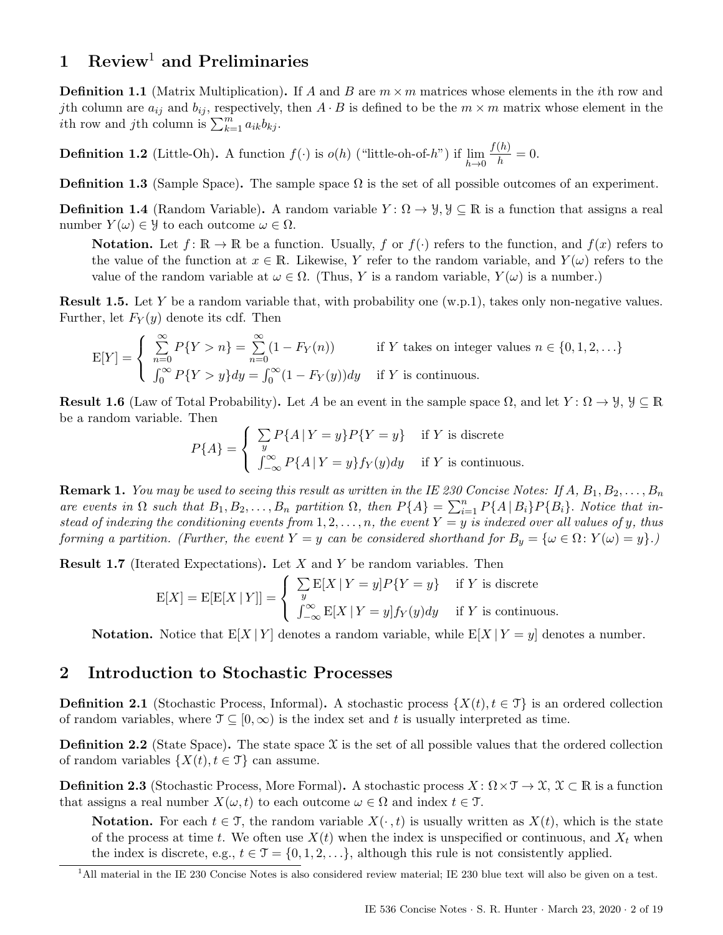# <span id="page-1-0"></span>[1](#page-1-2) Review<sup>1</sup> and Preliminaries

**Definition 1.1** (Matrix Multiplication). If A and B are  $m \times m$  matrices whose elements in the *i*th row and jth column are  $a_{ij}$  and  $b_{ij}$ , respectively, then  $A \cdot B$  is defined to be the  $m \times m$  matrix whose element in the ith row and jth column is  $\sum_{k=1}^{m} a_{ik} b_{kj}$ .

<span id="page-1-5"></span>**Definition 1.2** (Little-Oh). A function  $f(\cdot)$  is  $o(h)$  ("little-oh-of-h") if  $\lim_{h\to 0}$  $f(h)$  $\frac{h^{(n)}}{h} = 0.$ 

**Definition 1.3** (Sample Space). The sample space  $\Omega$  is the set of all possible outcomes of an experiment.

<span id="page-1-3"></span>**Definition 1.4** (Random Variable). A random variable  $Y: \Omega \to \mathcal{Y}, \mathcal{Y} \subseteq \mathbb{R}$  is a function that assigns a real number  $Y(\omega) \in \mathcal{Y}$  to each outcome  $\omega \in \Omega$ .

**Notation.** Let  $f: \mathbb{R} \to \mathbb{R}$  be a function. Usually, f or  $f(\cdot)$  refers to the function, and  $f(x)$  refers to the value of the function at  $x \in \mathbb{R}$ . Likewise, Y refer to the random variable, and  $Y(\omega)$  refers to the value of the random variable at  $\omega \in \Omega$ . (Thus, Y is a random variable,  $Y(\omega)$  is a number.)

**Result 1.5.** Let Y be a random variable that, with probability one  $(w.p.1)$ , takes only non-negative values. Further, let  $F_Y(y)$  denote its cdf. Then

$$
E[Y] = \begin{cases} \sum_{n=0}^{\infty} P\{Y > n\} = \sum_{n=0}^{\infty} (1 - F_Y(n)) & \text{if } Y \text{ takes on integer values } n \in \{0, 1, 2, \ldots\} \\ \int_0^{\infty} P\{Y > y\} dy = \int_0^{\infty} (1 - F_Y(y)) dy & \text{if } Y \text{ is continuous.} \end{cases}
$$

**Result 1.6** (Law of Total Probability). Let A be an event in the sample space  $\Omega$ , and let  $Y: \Omega \to \mathcal{Y}, \mathcal{Y} \subseteq \mathbb{R}$ be a random variable. Then

$$
P{A} = \begin{cases} \sum_{y} P{A | Y = y} P{Y = y} & \text{if } Y \text{ is discrete} \\ \int_{-\infty}^{\infty} P{A | Y = y} f_Y(y) dy & \text{if } Y \text{ is continuous.} \end{cases}
$$

**Remark 1.** You may be used to seeing this result as written in the IE 230 Concise Notes: If  $A, B_1, B_2, \ldots, B_n$ are events in  $\Omega$  such that  $B_1, B_2, \ldots, B_n$  partition  $\Omega$ , then  $P\{A\} = \sum_{i=1}^n P\{A \mid B_i\} P\{B_i\}$ . Notice that instead of indexing the conditioning events from  $1, 2, \ldots, n$ , the event  $Y = y$  is indexed over all values of y, thus forming a partition. (Further, the event Y = y can be considered shorthand for  $B_y = \{\omega \in \Omega : Y(\omega) = y\}$ .)

**Result 1.7** (Iterated Expectations). Let  $X$  and  $Y$  be random variables. Then

$$
E[X] = E[E[X | Y]] = \begin{cases} \sum_{y} E[X | Y = y] P\{Y = y\} & \text{if } Y \text{ is discrete} \\ \int_{-\infty}^{\infty} E[X | Y = y] f_Y(y) dy & \text{if } Y \text{ is continuous.} \end{cases}
$$

**Notation.** Notice that  $E[X|Y]$  denotes a random variable, while  $E[X|Y=y]$  denotes a number.

# <span id="page-1-1"></span>2 Introduction to Stochastic Processes

**Definition 2.1** (Stochastic Process, Informal). A stochastic process  $\{X(t), t \in \mathcal{T}\}\$ is an ordered collection of random variables, where  $\mathcal{T} \subseteq [0,\infty)$  is the index set and t is usually interpreted as time.

**Definition 2.2** (State Space). The state space  $\mathcal X$  is the set of all possible values that the ordered collection of random variables  $\{X(t), t \in \mathcal{T}\}\)$  can assume.

<span id="page-1-4"></span>**Definition 2.3** (Stochastic Process, More Formal). A stochastic process  $X: \Omega \times \mathcal{T} \to \mathcal{X}, \mathcal{X} \subset \mathbb{R}$  is a function that assigns a real number  $X(\omega, t)$  to each outcome  $\omega \in \Omega$  and index  $t \in \mathcal{T}$ .

**Notation.** For each  $t \in \mathcal{T}$ , the random variable  $X(\cdot, t)$  is usually written as  $X(t)$ , which is the state of the process at time t. We often use  $X(t)$  when the index is unspecified or continuous, and  $X_t$  when the index is discrete, e.g.,  $t \in \mathcal{T} = \{0, 1, 2, \ldots\}$ , although this rule is not consistently applied.

<span id="page-1-2"></span><sup>&</sup>lt;sup>1</sup>All material in the IE 230 Concise Notes is also considered review material; IE 230 blue text will also be given on a test.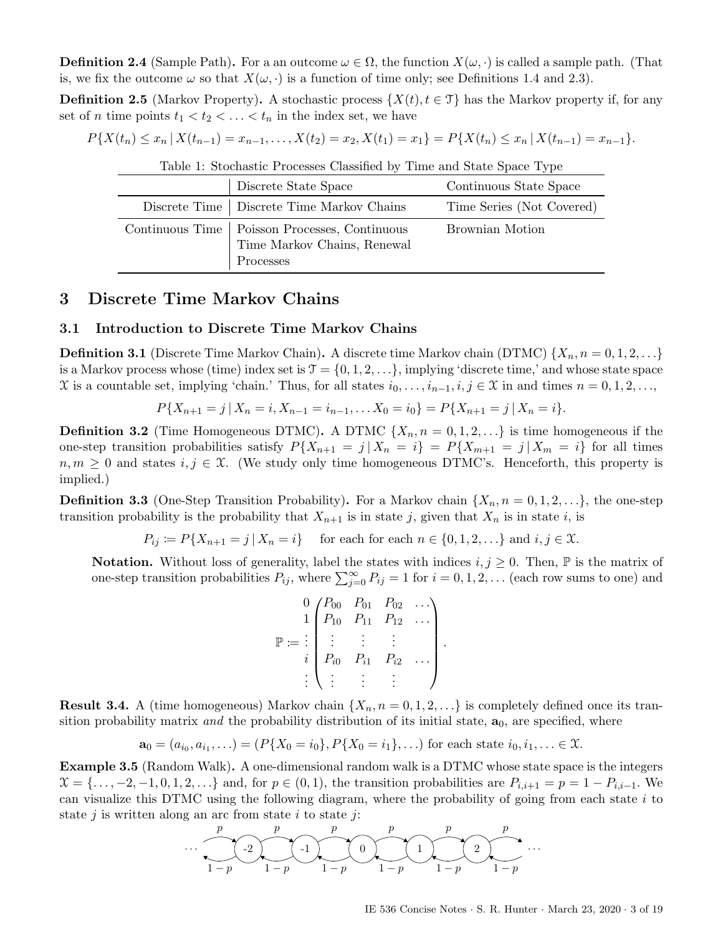**Definition 2.4** (Sample Path). For a an outcome  $\omega \in \Omega$ , the function  $X(\omega, \cdot)$  is called a sample path. (That is, we fix the outcome  $\omega$  so that  $X(\omega, \cdot)$  is a function of time only; see Definitions [1.4](#page-1-3) and [2.3\)](#page-1-4).

**Definition 2.5** (Markov Property). A stochastic process  $\{X(t), t \in \mathcal{T}\}\)$  has the Markov property if, for any set of *n* time points  $t_1 < t_2 < \ldots < t_n$  in the index set, we have

$$
P\{X(t_n) \le x_n \mid X(t_{n-1}) = x_{n-1}, \dots, X(t_2) = x_2, X(t_1) = x_1\} = P\{X(t_n) \le x_n \mid X(t_{n-1}) = x_{n-1}\}.
$$

| Table 1. DUCHastic I TOCESSES CRASSIFIED by THILE and DRAG DRACE Type |                                                                                             |                           |  |  |  |
|-----------------------------------------------------------------------|---------------------------------------------------------------------------------------------|---------------------------|--|--|--|
|                                                                       | Discrete State Space                                                                        | Continuous State Space    |  |  |  |
|                                                                       | Discrete Time   Discrete Time Markov Chains                                                 | Time Series (Not Covered) |  |  |  |
|                                                                       | Continuous Time   Poisson Processes, Continuous<br>Time Markov Chains, Renewal<br>Processes | Brownian Motion           |  |  |  |

| Table 1: Stochastic Processes Classified by Time and State Space Type |  |  |
|-----------------------------------------------------------------------|--|--|
|-----------------------------------------------------------------------|--|--|

# <span id="page-2-0"></span>3 Discrete Time Markov Chains

### <span id="page-2-1"></span>3.1 Introduction to Discrete Time Markov Chains

**Definition 3.1** (Discrete Time Markov Chain). A discrete time Markov chain (DTMC)  $\{X_n, n = 0, 1, 2, ...\}$ is a Markov process whose (time) index set is  $\mathcal{T} = \{0, 1, 2, \ldots\}$ , implying 'discrete time,' and whose state space X is a countable set, implying 'chain.' Thus, for all states  $i_0, \ldots, i_{n-1}, i, j \in \mathcal{X}$  in and times  $n = 0, 1, 2, \ldots$ ,

$$
P\{X_{n+1}=j \mid X_n=i, X_{n-1}=i_{n-1},\ldots X_0=i_0\}=P\{X_{n+1}=j \mid X_n=i\}.
$$

**Definition 3.2** (Time Homogeneous DTMC). A DTMC  $\{X_n, n = 0, 1, 2, ...\}$  is time homogeneous if the one-step transition probabilities satisfy  $P\{X_{n+1} = j | X_n = i\} = P\{X_{m+1} = j | X_m = i\}$  for all times  $n, m \geq 0$  and states  $i, j \in \mathcal{X}$ . (We study only time homogeneous DTMC's. Henceforth, this property is implied.)

**Definition 3.3** (One-Step Transition Probability). For a Markov chain  $\{X_n, n = 0, 1, 2, \ldots\}$ , the one-step transition probability is the probability that  $X_{n+1}$  is in state j, given that  $X_n$  is in state i, is

 $P_{ij} := P\{X_{n+1} = j \mid X_n = i\}$  for each for each  $n \in \{0, 1, 2, ...\}$  and  $i, j \in \mathcal{X}$ .

**Notation.** Without loss of generality, label the states with indices  $i, j \geq 0$ . Then,  $\mathbb{P}$  is the matrix of one-step transition probabilities  $P_{ij}$ , where  $\sum_{j=0}^{\infty} P_{ij} = 1$  for  $i = 0, 1, 2, ...$  (each row sums to one) and

$$
\mathbb{P} := \begin{bmatrix} 0 & P_{00} & P_{01} & P_{02} & \dots \\ P_{10} & P_{11} & P_{12} & \dots \\ \vdots & \vdots & \vdots & \vdots \\ P_{i0} & P_{i1} & P_{i2} & \dots \\ \vdots & \vdots & \vdots & \vdots \end{bmatrix}.
$$

**Result 3.4.** A (time homogeneous) Markov chain  $\{X_n, n = 0, 1, 2, ...\}$  is completely defined once its transition probability matrix and the probability distribution of its initial state,  $a_0$ , are specified, where

$$
\mathbf{a}_0 = (a_{i_0}, a_{i_1}, \ldots) = (P\{X_0 = i_0\}, P\{X_0 = i_1\}, \ldots) \text{ for each state } i_0, i_1, \ldots \in \mathfrak{X}.
$$

<span id="page-2-2"></span>Example 3.5 (Random Walk). A one-dimensional random walk is a DTMC whose state space is the integers  $\mathfrak{X} = \{\ldots, -2, -1, 0, 1, 2, \ldots\}$  and, for  $p \in (0, 1)$ , the transition probabilities are  $P_{i,i+1} = p = 1 - P_{i,i-1}$ . We can visualize this DTMC using the following diagram, where the probability of going from each state  $i$  to state  $j$  is written along an arc from state  $i$  to state  $j$ :

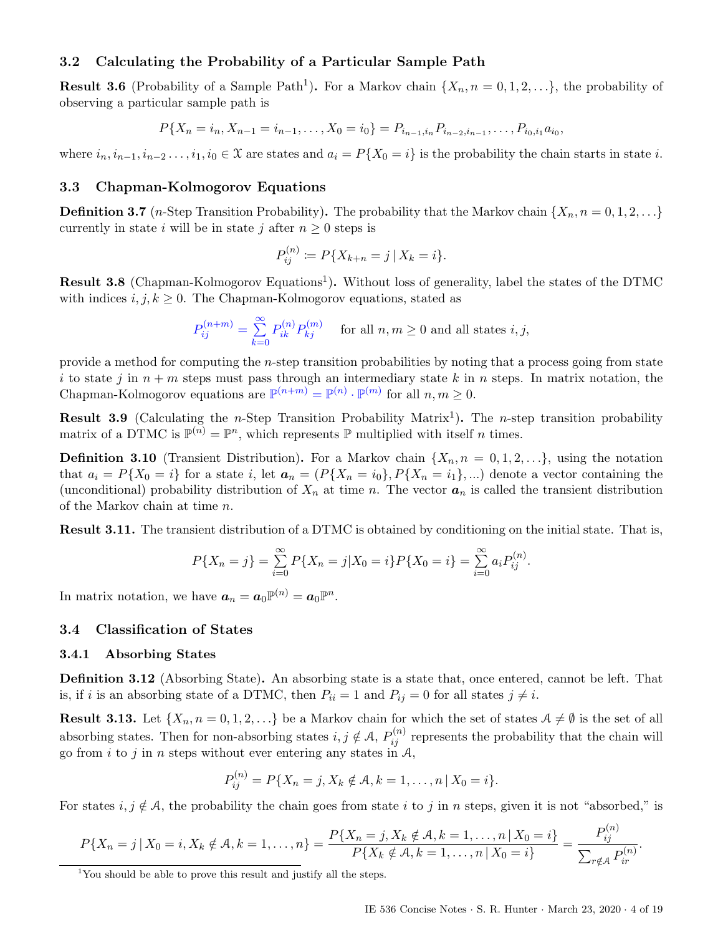### <span id="page-3-0"></span>3.2 Calculating the Probability of a Particular Sample Path

**Result 3.6** (Probability of a Sample Path<sup>[1](#page-3-4)</sup>). For a Markov chain  $\{X_n, n = 0, 1, 2, ...\}$ , the probability of observing a particular sample path is

 $P\{X_n = i_n, X_{n-1} = i_{n-1}, \ldots, X_0 = i_0\} = P_{i_{n-1},i_n} P_{i_{n-2},i_{n-1}}, \ldots, P_{i_0,i_1} a_{i_0},$ 

where  $i_n, i_{n-1}, i_{n-2}, \ldots, i_1, i_0 \in \mathfrak{X}$  are states and  $a_i = P\{X_0 = i\}$  is the probability the chain starts in state i.

### <span id="page-3-1"></span>3.3 Chapman-Kolmogorov Equations

**Definition 3.7** (*n*-Step Transition Probability). The probability that the Markov chain  $\{X_n, n = 0, 1, 2, ...\}$ currently in state i will be in state j after  $n \geq 0$  steps is

$$
P_{ij}^{(n)} := P\{X_{k+n} = j \,|\, X_k = i\}.
$$

Result 3.8 (Chapman-Kolmogorov Equations<sup>[1](#page-0-3)</sup>). Without loss of generality, label the states of the DTMC with indices  $i, j, k \geq 0$ . The Chapman-Kolmogorov equations, stated as

$$
P_{ij}^{(n+m)} = \sum_{k=0}^{\infty} P_{ik}^{(n)} P_{kj}^{(m)}
$$
 for all  $n, m \ge 0$  and all states  $i, j$ ,

provide a method for computing the n-step transition probabilities by noting that a process going from state i to state j in  $n + m$  steps must pass through an intermediary state k in n steps. In matrix notation, the Chapman-Kolmogorov equations are  $\mathbb{P}^{(n+m)} = \mathbb{P}^{(n)} \cdot \mathbb{P}^{(m)}$  for all  $n, m \geq 0$ .

**Result 3.9** (Calculating the *n*-Step Transition Probability Matrix<sup>[1](#page-0-3)</sup>). The *n*-step transition probability matrix of a DTMC is  $\mathbb{P}^{(n)} = \mathbb{P}^n$ , which represents  $\mathbb P$  multiplied with itself *n* times.

**Definition 3.10** (Transient Distribution). For a Markov chain  $\{X_n, n = 0, 1, 2, ...\}$ , using the notation that  $a_i = P{X_0 = i}$  for a state i, let  $a_n = (P{X_n = i_0}, P{X_n = i_1}, ...)$  denote a vector containing the (unconditional) probability distribution of  $X_n$  at time n. The vector  $a_n$  is called the transient distribution of the Markov chain at time n.

Result 3.11. The transient distribution of a DTMC is obtained by conditioning on the initial state. That is,

$$
P\{X_n = j\} = \sum_{i=0}^{\infty} P\{X_n = j | X_0 = i\} P\{X_0 = i\} = \sum_{i=0}^{\infty} a_i P_{ij}^{(n)}.
$$

In matrix notation, we have  $a_n = a_0 \mathbb{P}^{(n)} = a_0 \mathbb{P}^n$ .

### <span id="page-3-2"></span>3.4 Classification of States

#### <span id="page-3-3"></span>3.4.1 Absorbing States

Definition 3.12 (Absorbing State). An absorbing state is a state that, once entered, cannot be left. That is, if i is an absorbing state of a DTMC, then  $P_{ii} = 1$  and  $P_{ij} = 0$  for all states  $j \neq i$ .

<span id="page-3-5"></span>**Result 3.13.** Let  $\{X_n, n = 0, 1, 2, ...\}$  be a Markov chain for which the set of states  $A \neq \emptyset$  is the set of all absorbing states. Then for non-absorbing states  $i, j \notin A$ ,  $P_{ij}^{(n)}$  represents the probability that the chain will go from i to j in n steps without ever entering any states in  $A$ ,

$$
P_{ij}^{(n)} = P\{X_n = j, X_k \notin \mathcal{A}, k = 1, \dots, n \, | \, X_0 = i\}.
$$

For states  $i, j \notin A$ , the probability the chain goes from state i to j in n steps, given it is not "absorbed," is

$$
P\{X_n = j \mid X_0 = i, X_k \notin \mathcal{A}, k = 1, \dots, n\} = \frac{P\{X_n = j, X_k \notin \mathcal{A}, k = 1, \dots, n \mid X_0 = i\}}{P\{X_k \notin \mathcal{A}, k = 1, \dots, n \mid X_0 = i\}} = \frac{P_{ij}^{(n)}}{\sum_{r \notin \mathcal{A}} P_{ir}^{(n)}}.
$$

<span id="page-3-4"></span><sup>&</sup>lt;sup>1</sup>You should be able to prove this result and justify all the steps.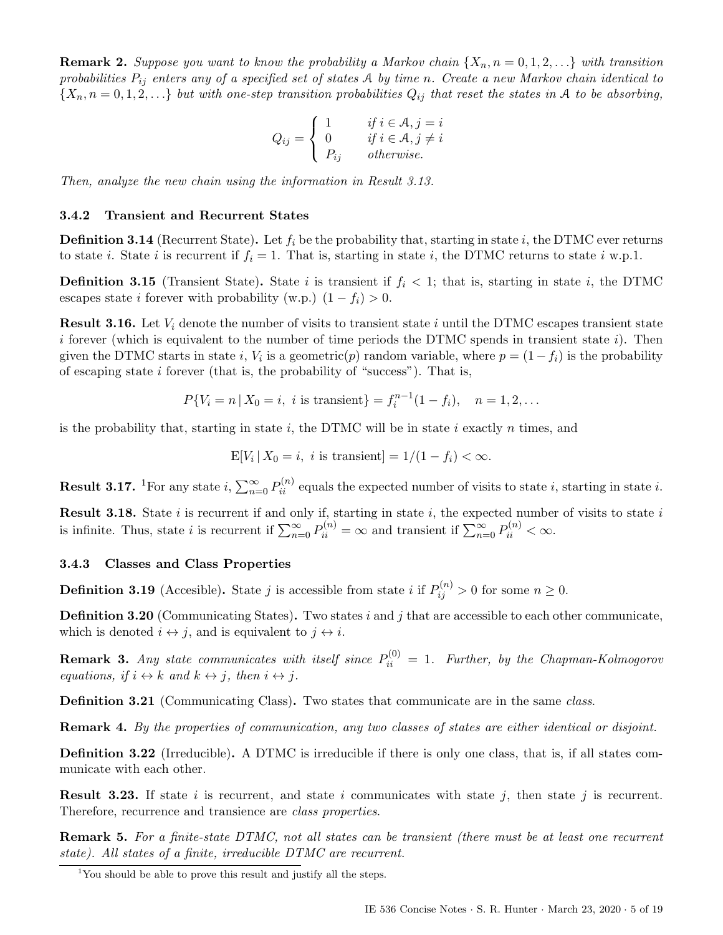**Remark 2.** Suppose you want to know the probability a Markov chain  $\{X_n, n = 0, 1, 2, ...\}$  with transition probabilities  $P_{ij}$  enters any of a specified set of states A by time n. Create a new Markov chain identical to  $\{X_n, n = 0, 1, 2, \ldots\}$  but with one-step transition probabilities  $Q_{ij}$  that reset the states in A to be absorbing,

$$
Q_{ij} = \begin{cases} 1 & \text{if } i \in \mathcal{A}, j = i \\ 0 & \text{if } i \in \mathcal{A}, j \neq i \\ P_{ij} & \text{otherwise.} \end{cases}
$$

Then, analyze the new chain using the information in Result [3.13.](#page-3-5)

### <span id="page-4-0"></span>3.4.2 Transient and Recurrent States

**Definition 3.14** (Recurrent State). Let  $f_i$  be the probability that, starting in state i, the DTMC ever returns to state *i*. State *i* is recurrent if  $f_i = 1$ . That is, starting in state *i*, the DTMC returns to state *i* w.p.1.

**Definition 3.15** (Transient State). State i is transient if  $f_i < 1$ ; that is, starting in state i, the DTMC escapes state *i* forever with probability (w.p.)  $(1 - f_i) > 0$ .

<span id="page-4-3"></span>**Result 3.16.** Let  $V_i$  denote the number of visits to transient state i until the DTMC escapes transient state i forever (which is equivalent to the number of time periods the DTMC spends in transient state i). Then given the DTMC starts in state i,  $V_i$  is a geometric(p) random variable, where  $p = (1 - f_i)$  is the probability of escaping state  $i$  forever (that is, the probability of "success"). That is,

$$
P{V_i = n | X_0 = i, i \text{ is transient}} = f_i^{n-1}(1 - f_i), \quad n = 1, 2, ...
$$

is the probability that, starting in state  $i$ , the DTMC will be in state  $i$  exactly  $n$  times, and

$$
E[V_i | X_0 = i, i \text{ is transient}] = 1/(1 - f_i) < \infty.
$$

**Result 3.[1](#page-4-2)7.** <sup>1</sup>For any state i,  $\sum_{n=0}^{\infty} P_{ii}^{(n)}$  equals the expected number of visits to state i, starting in state i.

**Result 3.18.** State i is recurrent if and only if, starting in state i, the expected number of visits to state i is infinite. Thus, state *i* is recurrent if  $\sum_{n=0}^{\infty} P_{ii}^{(n)} = \infty$  and transient if  $\sum_{n=0}^{\infty} P_{ii}^{(n)} < \infty$ .

### <span id="page-4-1"></span>3.4.3 Classes and Class Properties

**Definition 3.19** (Accesible). State j is accessible from state i if  $P_{ij}^{(n)} > 0$  for some  $n \ge 0$ .

**Definition 3.20** (Communicating States). Two states i and j that are accessible to each other communicate, which is denoted  $i \leftrightarrow j$ , and is equivalent to  $j \leftrightarrow i$ .

**Remark 3.** Any state communicates with itself since  $P_{ii}^{(0)} = 1$ . Further, by the Chapman-Kolmogorov equations, if  $i \leftrightarrow k$  and  $k \leftrightarrow j$ , then  $i \leftrightarrow j$ .

Definition 3.21 (Communicating Class). Two states that communicate are in the same class.

Remark 4. By the properties of communication, any two classes of states are either identical or disjoint.

Definition 3.22 (Irreducible). A DTMC is irreducible if there is only one class, that is, if all states communicate with each other.

**Result 3.23.** If state i is recurrent, and state i communicates with state j, then state j is recurrent. Therefore, recurrence and transience are class properties.

Remark 5. For a finite-state DTMC, not all states can be transient (there must be at least one recurrent state). All states of a finite, irreducible DTMC are recurrent.

<span id="page-4-2"></span><sup>&</sup>lt;sup>1</sup>You should be able to prove this result and justify all the steps.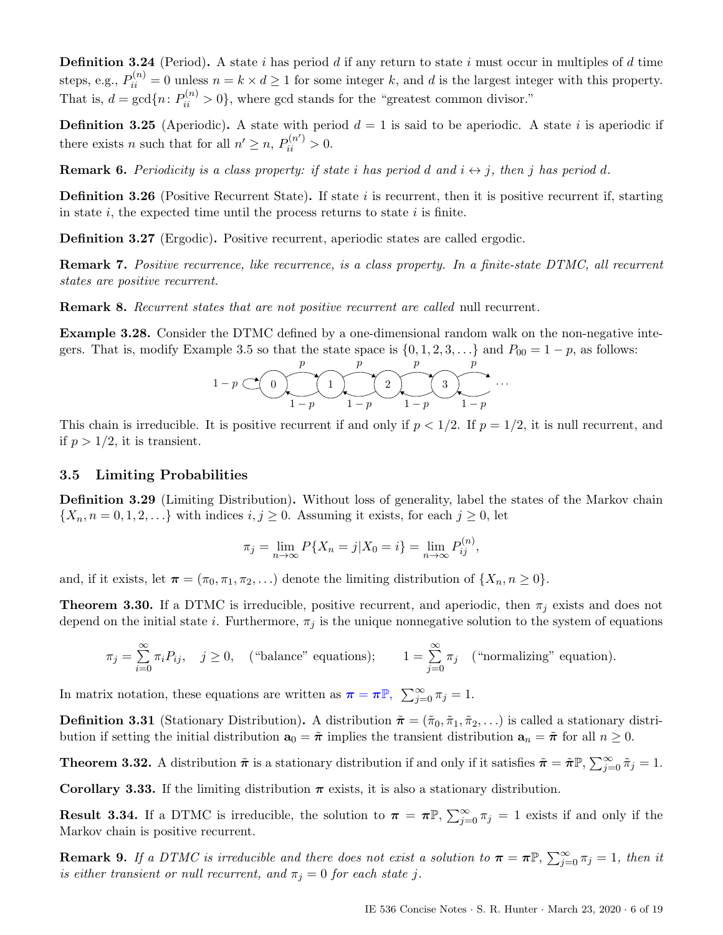**Definition 3.24** (Period). A state i has period d if any return to state i must occur in multiples of d time steps, e.g.,  $P_{ii}^{(n)} = 0$  unless  $n = k \times d \ge 1$  for some integer k, and d is the largest integer with this property. That is,  $d = \gcd\{n: P_{ii}^{(n)} > 0\}$ , where gcd stands for the "greatest common divisor."

**Definition 3.25** (Aperiodic). A state with period  $d = 1$  is said to be aperiodic. A state i is aperiodic if there exists *n* such that for all  $n' \ge n$ ,  $P_{ii}^{(n')} > 0$ .

**Remark 6.** Periodicity is a class property: if state i has period d and  $i \leftrightarrow j$ , then j has period d.

**Definition 3.26** (Positive Recurrent State). If state i is recurrent, then it is positive recurrent if, starting in state  $i$ , the expected time until the process returns to state  $i$  is finite.

Definition 3.27 (Ergodic). Positive recurrent, aperiodic states are called ergodic.

Remark 7. Positive recurrence, like recurrence, is a class property. In a finite-state DTMC, all recurrent states are positive recurrent.

**Remark 8.** Recurrent states that are not positive recurrent are called null recurrent.

Example 3.28. Consider the DTMC defined by a one-dimensional random walk on the non-negative inte-gers. That is, modify Example [3.5](#page-2-2) so that the state space is  $\{0, 1, 2, 3, \ldots\}$  and  $P_{00} = 1 - p$ , as follows:



This chain is irreducible. It is positive recurrent if and only if  $p < 1/2$ . If  $p = 1/2$ , it is null recurrent, and if  $p > 1/2$ , it is transient.

#### <span id="page-5-0"></span>3.5 Limiting Probabilities

Definition 3.29 (Limiting Distribution). Without loss of generality, label the states of the Markov chain  $\{X_n, n = 0, 1, 2, \ldots\}$  with indices  $i, j \geq 0$ . Assuming it exists, for each  $j \geq 0$ , let

$$
\pi_j = \lim_{n \to \infty} P\{X_n = j | X_0 = i\} = \lim_{n \to \infty} P_{ij}^{(n)},
$$

and, if it exists, let  $\pi = (\pi_0, \pi_1, \pi_2, \ldots)$  denote the limiting distribution of  $\{X_n, n \geq 0\}.$ 

**Theorem 3.30.** If a DTMC is irreducible, positive recurrent, and aperiodic, then  $\pi_i$  exists and does not depend on the initial state i. Furthermore,  $\pi_j$  is the unique nonnegative solution to the system of equations

$$
\pi_j = \sum_{i=0}^{\infty} \pi_i P_{ij}, \quad j \ge 0, \quad \text{("balance" equations)}; \qquad 1 = \sum_{j=0}^{\infty} \pi_j \quad \text{("normalizing" equation)}.
$$

In matrix notation, these equations are written as  $\pi = \pi \mathbb{P}$ ,  $\sum_{j=0}^{\infty} \pi_j = 1$ .

**Definition 3.31** (Stationary Distribution). A distribution  $\tilde{\boldsymbol{\pi}} = (\tilde{\pi}_0, \tilde{\pi}_1, \tilde{\pi}_2, ...)$  is called a stationary distribution if setting the initial distribution  $\mathbf{a}_0 = \tilde{\boldsymbol{\pi}}$  implies the transient distribution  $\mathbf{a}_n = \tilde{\boldsymbol{\pi}}$  for all  $n \geq 0$ .

**Theorem 3.32.** A distribution  $\tilde{\pi}$  is a stationary distribution if and only if it satisfies  $\tilde{\pi} = \tilde{\pi} \mathbb{P}, \sum_{j=0}^{\infty} \tilde{\pi}_j = 1$ .

Corollary 3.33. If the limiting distribution  $\pi$  exists, it is also a stationary distribution.

**Result 3.34.** If a DTMC is irreducible, the solution to  $\pi = \pi \mathbb{P}, \sum_{j=0}^{\infty} \pi_j = 1$  exists if and only if the Markov chain is positive recurrent.

**Remark 9.** If a DTMC is irreducible and there does not exist a solution to  $\pi = \pi \mathbb{P}$ ,  $\sum_{j=0}^{\infty} \pi_j = 1$ , then it is either transient or null recurrent, and  $\pi_j = 0$  for each state j.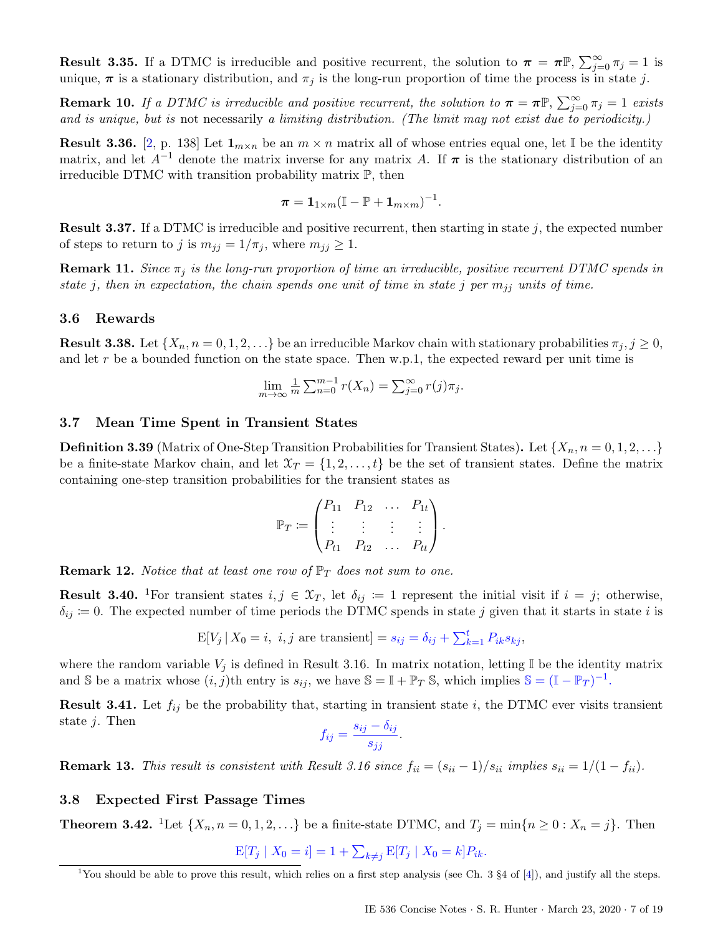**Result 3.35.** If a DTMC is irreducible and positive recurrent, the solution to  $\pi = \pi \mathbb{P}, \sum_{j=0}^{\infty} \pi_j = 1$  is unique,  $\pi$  is a stationary distribution, and  $\pi_j$  is the long-run proportion of time the process is in state j.

**Remark 10.** If a DTMC is irreducible and positive recurrent, the solution to  $\pi = \pi \mathbb{P}$ ,  $\sum_{j=0}^{\infty} \pi_j = 1$  exists and is unique, but is not necessarily a limiting distribution. (The limit may not exist due to periodicity.)

**Result 3.36.** [\[2,](#page-18-4) p. 138] Let  $1_{m \times n}$  be an  $m \times n$  matrix all of whose entries equal one, let I be the identity matrix, and let  $A^{-1}$  denote the matrix inverse for any matrix A. If  $\pi$  is the stationary distribution of an irreducible DTMC with transition probability matrix P, then

$$
\boldsymbol{\pi} = \mathbf{1}_{1 \times m} (\mathbb{I} - \mathbb{P} + \mathbf{1}_{m \times m})^{-1}.
$$

**Result 3.37.** If a DTMC is irreducible and positive recurrent, then starting in state  $j$ , the expected number of steps to return to j is  $m_{jj} = 1/\pi_j$ , where  $m_{jj} \geq 1$ .

**Remark 11.** Since  $\pi_j$  is the long-run proportion of time an irreducible, positive recurrent DTMC spends in state j, then in expectation, the chain spends one unit of time in state j per  $m_{jj}$  units of time.

#### <span id="page-6-0"></span>3.6 Rewards

**Result 3.38.** Let  $\{X_n, n = 0, 1, 2, ...\}$  be an irreducible Markov chain with stationary probabilities  $\pi_j, j \geq 0$ , and let  $r$  be a bounded function on the state space. Then w.p.1, the expected reward per unit time is

$$
\lim_{m \to \infty} \frac{1}{m} \sum_{n=0}^{m-1} r(X_n) = \sum_{j=0}^{\infty} r(j) \pi_j.
$$

### <span id="page-6-1"></span>3.7 Mean Time Spent in Transient States

**Definition 3.39** (Matrix of One-Step Transition Probabilities for Transient States). Let  $\{X_n, n = 0, 1, 2, ...\}$ be a finite-state Markov chain, and let  $\mathfrak{X}_T = \{1, 2, \ldots, t\}$  be the set of transient states. Define the matrix containing one-step transition probabilities for the transient states as

$$
\mathbb{P}_T := \begin{pmatrix} P_{11} & P_{12} & \dots & P_{1t} \\ \vdots & \vdots & \vdots & \vdots \\ P_{t1} & P_{t2} & \dots & P_{tt} \end{pmatrix}.
$$

**Remark 12.** Notice that at least one row of  $\mathbb{P}_T$  does not sum to one.

**Result 3.40.** <sup>[1](#page-6-3)</sup>For transient states  $i, j \in \mathcal{X}_T$ , let  $\delta_{ij} := 1$  represent the initial visit if  $i = j$ ; otherwise,  $\delta_{ij} = 0$ . The expected number of time periods the DTMC spends in state j given that it starts in state i is

$$
E[V_j \mid X_0 = i, i, j \text{ are transient}] = s_{ij} = \delta_{ij} + \sum_{k=1}^t P_{ik} s_{kj},
$$

where the random variable  $V_j$  is defined in Result [3.16.](#page-4-3) In matrix notation, letting  $\mathbb I$  be the identity matrix and S be a matrix whose  $(i, j)$ th entry is  $s_{ij}$ , we have  $\mathbb{S} = \mathbb{I} + \mathbb{P}_T \mathbb{S}$ , which implies  $\mathbb{S} = (\mathbb{I} - \mathbb{P}_T)^{-1}$ .

**Result 3.41.** Let  $f_{ij}$  be the probability that, starting in transient state i, the DTMC ever visits transient state j. Then

$$
f_{ij} = \frac{s_{ij} - \delta_{ij}}{s_{jj}}.
$$

**Remark 13.** This result is consistent with Result [3.16](#page-4-3) since  $f_{ii} = (s_{ii} - 1)/s_{ii}$  implies  $s_{ii} = 1/(1 - f_{ii})$ .

### <span id="page-6-2"></span>3.8 Expected First Passage Times

**Theorem 3.42.** <sup>[1](#page-0-3)</sup>Let  $\{X_n, n = 0, 1, 2, \ldots\}$  be a finite-state DTMC, and  $T_i = \min\{n \geq 0 : X_n = j\}$ . Then

 $E[T_j | X_0 = i] = 1 + \sum_{k \neq j} E[T_j | X_0 = k]P_{ik}.$ 

<span id="page-6-3"></span><sup>&</sup>lt;sup>1</sup>You should be able to prove this result, which relies on a first step analysis (see Ch. 3  $\S4$  of [\[4\]](#page-18-2)), and justify all the steps.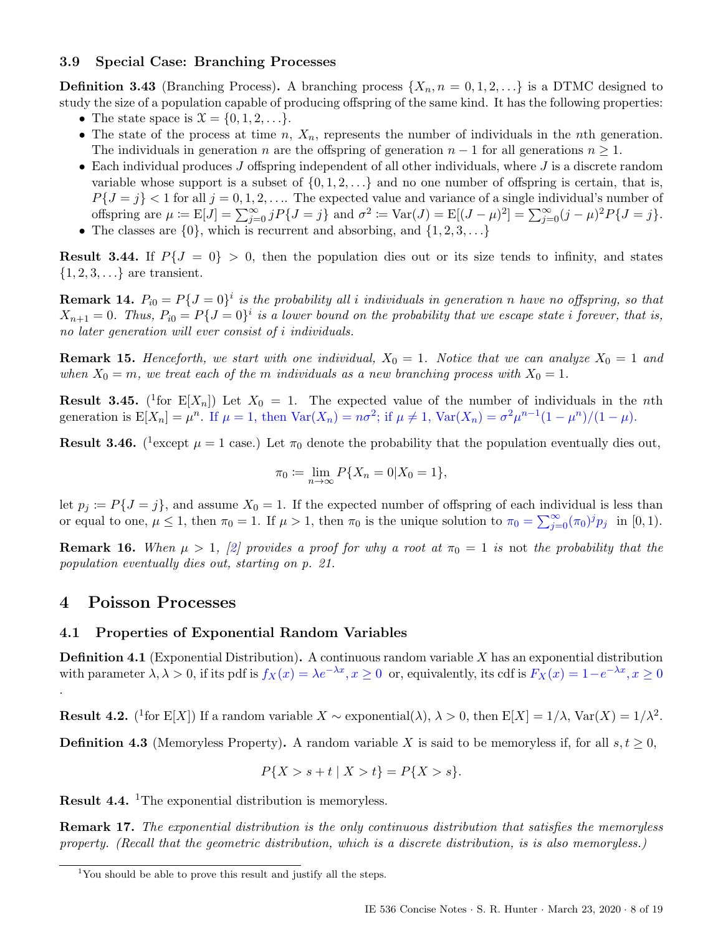### <span id="page-7-0"></span>3.9 Special Case: Branching Processes

**Definition 3.43** (Branching Process). A branching process  $\{X_n, n = 0, 1, 2, ...\}$  is a DTMC designed to study the size of a population capable of producing offspring of the same kind. It has the following properties:

- The state space is  $\mathcal{X} = \{0, 1, 2, \ldots\}.$
- The state of the process at time  $n, X_n$ , represents the number of individuals in the nth generation. The individuals in generation n are the offspring of generation  $n-1$  for all generations  $n \geq 1$ .
- Each individual produces  $J$  offspring independent of all other individuals, where  $J$  is a discrete random variable whose support is a subset of  $\{0, 1, 2, \ldots\}$  and no one number of offspring is certain, that is,  $P{J = j} < 1$  for all  $j = 0, 1, 2, \ldots$  The expected value and variance of a single individual's number of offspring are  $\mu := \mathbb{E}[J] = \sum_{j=0}^{\infty} j P\{J = j\}$  and  $\sigma^2 := \text{Var}(J) = \mathbb{E}[(J - \mu)^2] = \sum_{j=0}^{\infty} (j - \mu)^2 P\{J = j\}.$
- The classes are  $\{0\}$ , which is recurrent and absorbing, and  $\{1, 2, 3, \ldots\}$

**Result 3.44.** If  $P\{J = 0\} > 0$ , then the population dies out or its size tends to infinity, and states  $\{1, 2, 3, \ldots\}$  are transient.

**Remark 14.**  $P_{i0} = P\{J=0\}^i$  is the probability all i individuals in generation n have no offspring, so that  $X_{n+1} = 0$ . Thus,  $P_{i0} = P\{J = 0\}^i$  is a lower bound on the probability that we escape state i forever, that is, no later generation will ever consist of i individuals.

**Remark 15.** Henceforth, we start with one individual,  $X_0 = 1$ . Notice that we can analyze  $X_0 = 1$  and when  $X_0 = m$ , we treat each of the m individuals as a new branching process with  $X_0 = 1$ .

**Result 3.45.** (<sup>[1](#page-7-3)</sup>for  $E[X_n]$ ) Let  $X_0 = 1$ . The expected value of the number of individuals in the *n*th generation is  $E[X_n] = \mu^n$ . If  $\mu = 1$ , then  $Var(X_n) = n\sigma^2$ ; if  $\mu \neq 1$ ,  $Var(X_n) = \sigma^2 \mu^{n-1}(1 - \mu^n)/(1 - \mu)$ .

**Result 3.46.** (<sup>[1](#page-0-3)</sup> except  $\mu = 1$  case.) Let  $\pi_0$  denote the probability that the population eventually dies out,

$$
\pi_0 := \lim_{n \to \infty} P\{X_n = 0 | X_0 = 1\},\
$$

let  $p_j := P\{J = j\}$ , and assume  $X_0 = 1$ . If the expected number of offspring of each individual is less than or equal to one,  $\mu \le 1$ , then  $\pi_0 = 1$ . If  $\mu > 1$ , then  $\pi_0$  is the unique solution to  $\pi_0 = \sum_{j=0}^{\infty} (\pi_0)^j p_j$  in  $[0,1)$ .

**Remark 16.** When  $\mu > 1$ , [\[2\]](#page-18-4) provides a proof for why a root at  $\pi_0 = 1$  is not the probability that the population eventually dies out, starting on p. 21.

# <span id="page-7-1"></span>4 Poisson Processes

.

### <span id="page-7-2"></span>4.1 Properties of Exponential Random Variables

**Definition 4.1** (Exponential Distribution). A continuous random variable  $X$  has an exponential distribution with parameter  $\lambda, \lambda > 0$ , if its pdf is  $f_X(x) = \lambda e^{-\lambda x}, x \ge 0$  or, equivalently, its cdf is  $F_X(x) = 1 - e^{-\lambda x}, x \ge 0$ 

**Result 4.2.** (<sup>[1](#page-0-3)</sup>for E[X]) If a random variable  $X \sim$  exponential( $\lambda$ ),  $\lambda > 0$ , then E[X] =  $1/\lambda$ , Var(X) =  $1/\lambda^2$ .

**Definition 4.3** (Memoryless Property). A random variable X is said to be memoryless if, for all  $s, t \geq 0$ ,

$$
P\{X > s + t \mid X > t\} = P\{X > s\}.
$$

Result 4.4. [1](#page-0-3)The exponential distribution is memoryless.

Remark 17. The exponential distribution is the only continuous distribution that satisfies the memoryless property. (Recall that the geometric distribution, which is a discrete distribution, is is also memoryless.)

<span id="page-7-3"></span><sup>&</sup>lt;sup>1</sup>You should be able to prove this result and justify all the steps.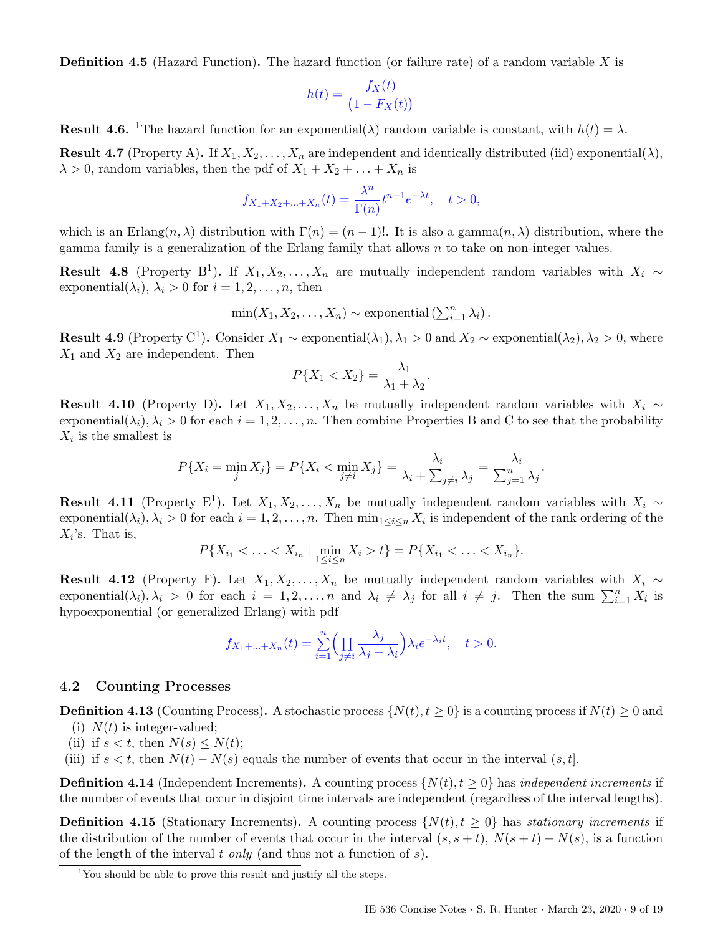**Definition 4.5** (Hazard Function). The hazard function (or failure rate) of a random variable X is

$$
h(t) = \frac{f_X(t)}{(1 - F_X(t))}
$$

**Result 4.6.** <sup>[1](#page-8-1)</sup>The hazard function for an exponential( $\lambda$ ) random variable is constant, with  $h(t) = \lambda$ .

**Result 4.7** (Property A). If  $X_1, X_2, \ldots, X_n$  are independent and identically distributed (iid) exponential( $\lambda$ ),  $\lambda > 0$ , random variables, then the pdf of  $X_1 + X_2 + \ldots + X_n$  is

$$
f_{X_1+X_2+\ldots+X_n}(t) = \frac{\lambda^n}{\Gamma(n)} t^{n-1} e^{-\lambda t}, \quad t > 0,
$$

which is an Erlang $(n, \lambda)$  distribution with  $\Gamma(n) = (n-1)!$ . It is also a gamma $(n, \lambda)$  distribution, where the gamma family is a generalization of the Erlang family that allows n to take on non-integer values.

**Result 4.8** (Property B<sup>[1](#page-0-3)</sup>). If  $X_1, X_2, \ldots, X_n$  are mutually independent random variables with  $X_i \sim$ exponential( $\lambda_i$ ),  $\lambda_i > 0$  for  $i = 1, 2, \ldots, n$ , then

$$
\min(X_1, X_2, \dots, X_n) \sim \text{exponential}(\sum_{i=1}^n \lambda_i).
$$

**Result 4.9** (Property C<sup>[1](#page-0-3)</sup>). Consider  $X_1 \sim$  exponential( $\lambda_1$ ),  $\lambda_1 > 0$  and  $X_2 \sim$  exponential( $\lambda_2$ ),  $\lambda_2 > 0$ , where  $X_1$  and  $X_2$  are independent. Then

$$
P\{X_1 < X_2\} = \frac{\lambda_1}{\lambda_1 + \lambda_2}.
$$

Result 4.10 (Property D). Let  $X_1, X_2, ..., X_n$  be mutually independent random variables with  $X_i \sim$ exponential( $\lambda_i$ ),  $\lambda_i > 0$  for each  $i = 1, 2, ..., n$ . Then combine Properties B and C to see that the probability  $X_i$  is the smallest is

$$
P\{X_i = \min_j X_j\} = P\{X_i < \min_{j \neq i} X_j\} = \frac{\lambda_i}{\lambda_i + \sum_{j \neq i} \lambda_j} = \frac{\lambda_i}{\sum_{j=1}^n \lambda_j}.
$$

**Result 4.[1](#page-0-3)1** (Property E<sup>1</sup>). Let  $X_1, X_2, \ldots, X_n$  be mutually independent random variables with  $X_i \sim$ exponential $(\lambda_i), \lambda_i > 0$  for each  $i = 1, 2, ..., n$ . Then  $\min_{1 \leq i \leq n} X_i$  is independent of the rank ordering of the  $X_i$ 's. That is,

$$
P\{X_{i_1} < \ldots < X_{i_n} \mid \min_{1 \le i \le n} X_i > t\} = P\{X_{i_1} < \ldots < X_{i_n}\}.
$$

Result 4.12 (Property F). Let  $X_1, X_2, \ldots, X_n$  be mutually independent random variables with  $X_i \sim$ exponential $(\lambda_i)$ ,  $\lambda_i > 0$  for each  $i = 1, 2, ..., n$  and  $\lambda_i \neq \lambda_j$  for all  $i \neq j$ . Then the sum  $\sum_{i=1}^n X_i$  is hypoexponential (or generalized Erlang) with pdf

$$
f_{X_1+\ldots+X_n}(t) = \sum_{i=1}^n \left(\prod_{j\neq i} \frac{\lambda_j}{\lambda_j - \lambda_i}\right) \lambda_i e^{-\lambda_i t}, \quad t > 0.
$$

### <span id="page-8-0"></span>4.2 Counting Processes

**Definition 4.13** (Counting Process). A stochastic process  $\{N(t), t \geq 0\}$  is a counting process if  $N(t) \geq 0$  and

- (i)  $N(t)$  is integer-valued;
- (ii) if  $s < t$ , then  $N(s) \leq N(t)$ ;
- (iii) if  $s < t$ , then  $N(t) N(s)$  equals the number of events that occur in the interval  $(s, t]$ .

**Definition 4.14** (Independent Increments). A counting process  $\{N(t), t \geq 0\}$  has *independent increments* if the number of events that occur in disjoint time intervals are independent (regardless of the interval lengths).

**Definition 4.15** (Stationary Increments). A counting process  $\{N(t), t \geq 0\}$  has *stationary increments* if the distribution of the number of events that occur in the interval  $(s, s + t)$ ,  $N(s + t) - N(s)$ , is a function of the length of the interval t only (and thus not a function of  $s$ ).

<span id="page-8-1"></span><sup>&</sup>lt;sup>1</sup>You should be able to prove this result and justify all the steps.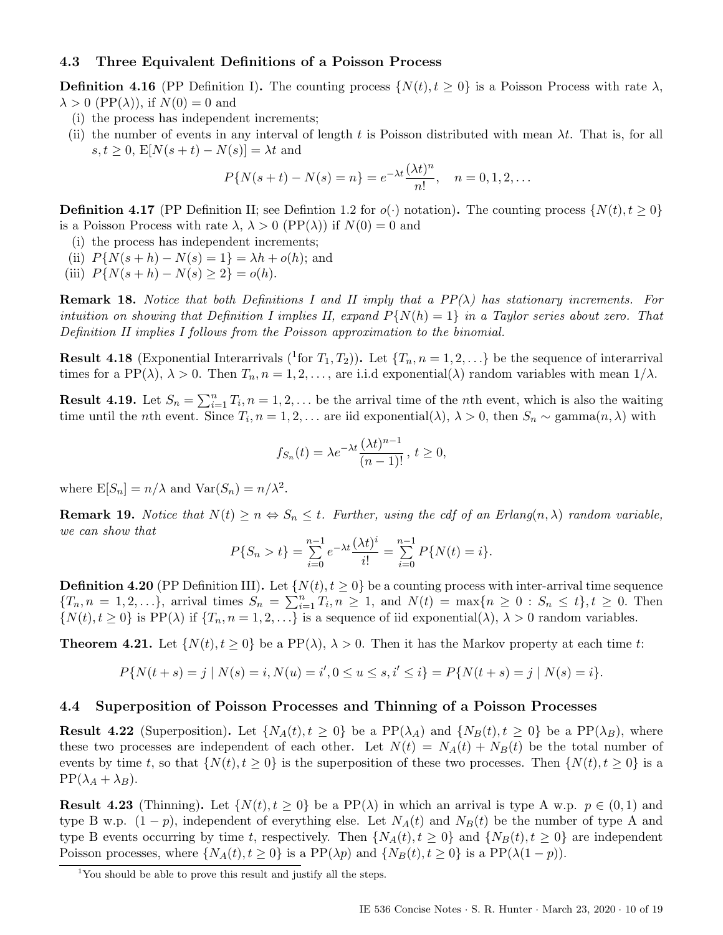### <span id="page-9-0"></span>4.3 Three Equivalent Definitions of a Poisson Process

**Definition 4.16** (PP Definition I). The counting process  $\{N(t), t \geq 0\}$  is a Poisson Process with rate  $\lambda$ ,  $\lambda > 0$  (PP( $\lambda$ )), if  $N(0) = 0$  and

- (i) the process has independent increments;
- (ii) the number of events in any interval of length t is Poisson distributed with mean  $\lambda t$ . That is, for all  $s, t \geq 0$ ,  $E[N(s+t) - N(s)] = \lambda t$  and

$$
P\{N(s+t) - N(s) = n\} = e^{-\lambda t} \frac{(\lambda t)^n}{n!}, \quad n = 0, 1, 2, \dots
$$

**Definition 4.17** (PP Definition II; see Definition [1.2](#page-1-5) for  $o(\cdot)$  notation). The counting process  $\{N(t), t \geq 0\}$ is a Poisson Process with rate  $\lambda$ ,  $\lambda > 0$  (PP( $\lambda$ )) if  $N(0) = 0$  and

- (i) the process has independent increments;
- (ii)  $P{N(s+h) N(s) = 1} = \lambda h + o(h)$ ; and
- (iii)  $P{N(s+h) N(s) \ge 2} = o(h)$ .

**Remark 18.** Notice that both Definitions I and II imply that a  $PP(\lambda)$  has stationary increments. For intuition on showing that Definition I implies II, expand  $P\{N(h) = 1\}$  in a Taylor series about zero. That Definition II implies I follows from the Poisson approximation to the binomial.

**Result 4.18** [\(](#page-9-2)Exponential Interarrivals (<sup>1</sup>for  $T_1, T_2$ )). Let  $\{T_n, n = 1, 2, ...\}$  be the sequence of interarrival times for a PP( $\lambda$ ),  $\lambda > 0$ . Then  $T_n$ ,  $n = 1, 2, \ldots$ , are i.i.d exponential( $\lambda$ ) random variables with mean  $1/\lambda$ .

**Result 4.19.** Let  $S_n = \sum_{i=1}^n T_i$ ,  $n = 1, 2, \ldots$  be the arrival time of the *n*th event, which is also the waiting time until the *n*th event. Since  $T_i$ ,  $n = 1, 2, \ldots$  are iid exponential( $\lambda$ ),  $\lambda > 0$ , then  $S_n \sim \text{gamma}(n, \lambda)$  with

$$
f_{S_n}(t) = \lambda e^{-\lambda t} \frac{(\lambda t)^{n-1}}{(n-1)!}, t \ge 0,
$$

where  $E[S_n] = n/\lambda$  and  $Var(S_n) = n/\lambda^2$ .

**Remark 19.** Notice that  $N(t) \geq n \Leftrightarrow S_n \leq t$ . Further, using the cdf of an Erlang $(n, \lambda)$  random variable, we can show that

$$
P\{S_n > t\} = \sum_{i=0}^{n-1} e^{-\lambda t} \frac{(\lambda t)^i}{i!} = \sum_{i=0}^{n-1} P\{N(t) = i\}.
$$

**Definition 4.20** (PP Definition III). Let  $\{N(t), t \ge 0\}$  be a counting process with inter-arrival time sequence  ${T_n, n = 1, 2, ...}$ , arrival times  $S_n = \sum_{i=1}^n T_i, n \ge 1$ , and  $N(t) = \max\{n \ge 0 : S_n \le t\}, t \ge 0$ . Then  $\{N(t), t \geq 0\}$  is PP( $\lambda$ ) if  $\{T_n, n = 1, 2, \ldots\}$  is a sequence of iid exponential( $\lambda$ ),  $\lambda > 0$  random variables.

**Theorem 4.21.** Let  $\{N(t), t \geq 0\}$  be a PP( $\lambda$ ),  $\lambda > 0$ . Then it has the Markov property at each time t:

$$
P\{N(t+s) = j \mid N(s) = i, N(u) = i', 0 \le u \le s, i' \le i\} = P\{N(t+s) = j \mid N(s) = i\}.
$$

#### <span id="page-9-1"></span>4.4 Superposition of Poisson Processes and Thinning of a Poisson Processes

**Result 4.22** (Superposition). Let  $\{N_A(t), t \geq 0\}$  be a PP( $\lambda_A$ ) and  $\{N_B(t), t \geq 0\}$  be a PP( $\lambda_B$ ), where these two processes are independent of each other. Let  $N(t) = N_A(t) + N_B(t)$  be the total number of events by time t, so that  $\{N(t), t \geq 0\}$  is the superposition of these two processes. Then  $\{N(t), t \geq 0\}$  is a  $PP(\lambda_A + \lambda_B)$ .

**Result 4.23** (Thinning). Let  $\{N(t), t \geq 0\}$  be a PP( $\lambda$ ) in which an arrival is type A w.p.  $p \in (0, 1)$  and type B w.p.  $(1-p)$ , independent of everything else. Let  $N_A(t)$  and  $N_B(t)$  be the number of type A and type B events occurring by time t, respectively. Then  $\{N_A(t), t \ge 0\}$  and  $\{N_B(t), t \ge 0\}$  are independent Poisson processes, where  $\{N_A(t), t \geq 0\}$  is a PP( $\lambda p$ ) and  $\{N_B(t), t \geq 0\}$  is a PP( $\lambda(1-p)$ ).

<span id="page-9-2"></span> $1$ You should be able to prove this result and justify all the steps.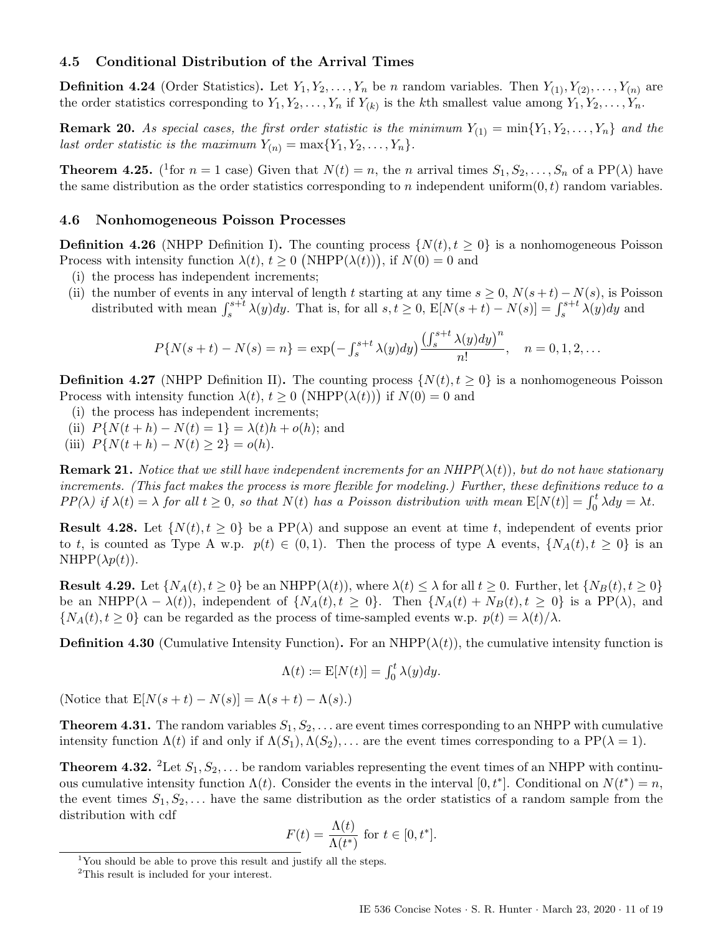### <span id="page-10-0"></span>4.5 Conditional Distribution of the Arrival Times

**Definition 4.24** (Order Statistics). Let  $Y_1, Y_2, \ldots, Y_n$  be n random variables. Then  $Y_{(1)}, Y_{(2)}, \ldots, Y_{(n)}$  are the order statistics corresponding to  $Y_1, Y_2, \ldots, Y_n$  if  $Y_{(k)}$  is the kth smallest value among  $Y_1, Y_2, \ldots, Y_n$ .

**Remark 20.** As special cases, the first order statistic is the minimum  $Y_{(1)} = \min\{Y_1, Y_2, \ldots, Y_n\}$  and the last order statistic is the maximum  $Y_{(n)} = \max\{Y_1, Y_2, \ldots, Y_n\}.$ 

**Theorem 4.25.** (<sup>[1](#page-10-2)</sup>for  $n = 1$  case) Given that  $N(t) = n$ , the n arrival times  $S_1, S_2, \ldots, S_n$  of a PP( $\lambda$ ) have the same distribution as the order statistics corresponding to n independent uniform $(0, t)$  random variables.

### <span id="page-10-1"></span>4.6 Nonhomogeneous Poisson Processes

**Definition 4.26** (NHPP Definition I). The counting process  $\{N(t), t \geq 0\}$  is a nonhomogeneous Poisson Process with intensity function  $\lambda(t)$ ,  $t \geq 0$  (NHPP( $\lambda(t)$ )), if  $N(0) = 0$  and

- (i) the process has independent increments;
- (ii) the number of events in any interval of length t starting at any time  $s \geq 0$ ,  $N(s+t) N(s)$ , is Poisson distributed with mean  $\int_s^{s+t} \lambda(y) dy$ . That is, for all  $s, t \ge 0$ ,  $E[N(s+t) - N(s)] = \int_s^{s+t} \lambda(y) dy$  and

$$
P\{N(s+t) - N(s) = n\} = \exp\left(-\int_{s}^{s+t} \lambda(y) dy\right) \frac{\left(\int_{s}^{s+t} \lambda(y) dy\right)^{n}}{n!}, \quad n = 0, 1, 2, \dots
$$

**Definition 4.27** (NHPP Definition II). The counting process  $\{N(t), t \geq 0\}$  is a nonhomogeneous Poisson Process with intensity function  $\lambda(t)$ ,  $t \geq 0$  (NHPP( $\lambda(t)$ )) if  $N(0) = 0$  and

- (i) the process has independent increments;
- (ii)  $P{N(t + h) N(t) = 1} = \lambda(t)h + o(h)$ ; and
- (iii)  $P{N(t+h) N(t) \ge 2} = o(h)$ .

**Remark 21.** Notice that we still have independent increments for an  $NHPP(\lambda(t))$ , but do not have stationary increments. (This fact makes the process is more flexible for modeling.) Further, these definitions reduce to a  $PP(\lambda)$  if  $\lambda(t) = \lambda$  for all  $t \geq 0$ , so that  $N(t)$  has a Poisson distribution with mean  $E[N(t)] = \int_0^t \lambda dy = \lambda t$ .

**Result 4.28.** Let  $\{N(t), t \geq 0\}$  be a PP( $\lambda$ ) and suppose an event at time t, independent of events prior to t, is counted as Type A w.p.  $p(t) \in (0,1)$ . Then the process of type A events,  $\{N_A(t), t \geq 0\}$  is an  $NHPP(\lambda p(t)).$ 

**Result 4.29.** Let  $\{N_A(t), t \geq 0\}$  be an NHPP( $\lambda(t)$ ), where  $\lambda(t) \leq \lambda$  for all  $t \geq 0$ . Further, let  $\{N_B(t), t \geq 0\}$ be an NHPP( $\lambda - \lambda(t)$ ), independent of  $\{N_A(t), t \geq 0\}$ . Then  $\{N_A(t) + N_B(t), t \geq 0\}$  is a PP( $\lambda$ ), and  $\{N_A(t), t \geq 0\}$  can be regarded as the process of time-sampled events w.p.  $p(t) = \lambda(t)/\lambda$ .

**Definition 4.30** (Cumulative Intensity Function). For an NHPP( $\lambda(t)$ ), the cumulative intensity function is

$$
\Lambda(t) \coloneqq \mathbb{E}[N(t)] = \int_0^t \lambda(y) dy.
$$

(Notice that  $E[N(s+t)-N(s)] = \Lambda(s+t) - \Lambda(s)$ .)

**Theorem 4.31.** The random variables  $S_1, S_2, \ldots$  are event times corresponding to an NHPP with cumulative intensity function  $\Lambda(t)$  if and only if  $\Lambda(S_1), \Lambda(S_2), \ldots$  are the event times corresponding to a PP( $\lambda = 1$ ).

**Theorem 4.3[2](#page-10-3).** <sup>2</sup>Let  $S_1, S_2, \ldots$  be random variables representing the event times of an NHPP with continuous cumulative intensity function  $\Lambda(t)$ . Consider the events in the interval  $[0, t^*]$ . Conditional on  $N(t^*) = n$ , the event times  $S_1, S_2, \ldots$  have the same distribution as the order statistics of a random sample from the distribution with cdf

$$
F(t) = \frac{\Lambda(t)}{\Lambda(t^*)} \text{ for } t \in [0, t^*].
$$

<span id="page-10-2"></span><sup>&</sup>lt;sup>1</sup>You should be able to prove this result and justify all the steps.

<span id="page-10-3"></span><sup>2</sup>This result is included for your interest.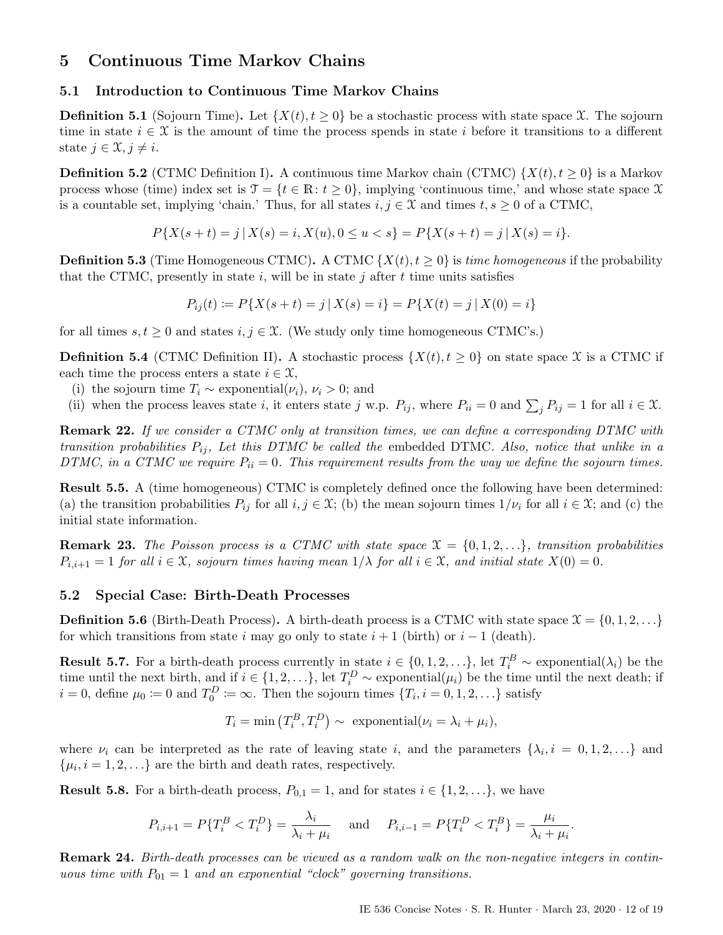# <span id="page-11-0"></span>5 Continuous Time Markov Chains

### <span id="page-11-1"></span>5.1 Introduction to Continuous Time Markov Chains

**Definition 5.1** (Sojourn Time). Let  $\{X(t), t \geq 0\}$  be a stochastic process with state space X. The sojourn time in state  $i \in \mathcal{X}$  is the amount of time the process spends in state i before it transitions to a different state  $j \in \mathfrak{X}, j \neq i$ .

**Definition 5.2** (CTMC Definition I). A continuous time Markov chain (CTMC)  $\{X(t), t \geq 0\}$  is a Markov process whose (time) index set is  $\mathcal{T} = \{t \in \mathbb{R} : t \geq 0\}$ , implying 'continuous time,' and whose state space X is a countable set, implying 'chain.' Thus, for all states  $i, j \in \mathcal{X}$  and times  $t, s \geq 0$  of a CTMC,

$$
P\{X(s+t) = j \mid X(s) = i, X(u), 0 \le u < s\} = P\{X(s+t) = j \mid X(s) = i\}.
$$

**Definition 5.3** (Time Homogeneous CTMC). A CTMC  $\{X(t), t \geq 0\}$  is time homogeneous if the probability that the CTMC, presently in state i, will be in state j after t time units satisfies

$$
P_{ij}(t) := P\{X(s+t) = j \mid X(s) = i\} = P\{X(t) = j \mid X(0) = i\}
$$

for all times  $s, t \geq 0$  and states  $i, j \in \mathcal{X}$ . (We study only time homogeneous CTMC's.)

**Definition 5.4** (CTMC Definition II). A stochastic process  $\{X(t), t \geq 0\}$  on state space X is a CTMC if each time the process enters a state  $i \in \mathfrak{X}$ ,

- (i) the sojourn time  $T_i \sim$  exponential( $\nu_i$ ),  $\nu_i > 0$ ; and
- (ii) when the process leaves state i, it enters state j w.p.  $P_{ij}$ , where  $P_{ii} = 0$  and  $\sum_j P_{ij} = 1$  for all  $i \in \mathcal{X}$ .

Remark 22. If we consider a CTMC only at transition times, we can define a corresponding DTMC with transition probabilities  $P_{ij}$ , Let this DTMC be called the embedded DTMC. Also, notice that unlike in a DTMC, in a CTMC we require  $P_{ii} = 0$ . This requirement results from the way we define the sojourn times.

Result 5.5. A (time homogeneous) CTMC is completely defined once the following have been determined: (a) the transition probabilities  $P_{ij}$  for all  $i, j \in \mathcal{X}$ ; (b) the mean sojourn times  $1/\nu_i$  for all  $i \in \mathcal{X}$ ; and (c) the initial state information.

**Remark 23.** The Poisson process is a CTMC with state space  $\mathcal{X} = \{0, 1, 2, \ldots\}$ , transition probabilities  $P_{i,i+1} = 1$  for all  $i \in \mathfrak{X}$ , sojourn times having mean  $1/\lambda$  for all  $i \in \mathfrak{X}$ , and initial state  $X(0) = 0$ .

### <span id="page-11-2"></span>5.2 Special Case: Birth-Death Processes

**Definition 5.6** (Birth-Death Process). A birth-death process is a CTMC with state space  $\mathcal{X} = \{0, 1, 2, \ldots\}$ for which transitions from state i may go only to state  $i + 1$  (birth) or  $i - 1$  (death).

**Result 5.7.** For a birth-death process currently in state  $i \in \{0, 1, 2, ...\}$ , let  $T_i^B \sim \text{exponential}(\lambda_i)$  be the time until the next birth, and if  $i \in \{1, 2, \ldots\}$ , let  $T_i^D \sim \text{exponential}(\mu_i)$  be the time until the next death; if  $i = 0$ , define  $\mu_0 \coloneqq 0$  and  $T_0^D \coloneqq \infty$ . Then the sojourn times  $\{T_i, i = 0, 1, 2, \ldots\}$  satisfy

$$
T_i = \min\left(T_i^B, T_i^D\right) \sim \text{ exponential}(\nu_i = \lambda_i + \mu_i),
$$

where  $\nu_i$  can be interpreted as the rate of leaving state i, and the parameters  $\{\lambda_i, i = 0, 1, 2, ...\}$  and  $\{\mu_i, i = 1, 2, \ldots\}$  are the birth and death rates, respectively.

**Result 5.8.** For a birth-death process,  $P_{0,1} = 1$ , and for states  $i \in \{1, 2, \ldots\}$ , we have

$$
P_{i,i+1} = P\{T_i^B < T_i^D\} = \frac{\lambda_i}{\lambda_i + \mu_i} \quad \text{and} \quad P_{i,i-1} = P\{T_i^D < T_i^B\} = \frac{\mu_i}{\lambda_i + \mu_i}.
$$

Remark 24. Birth-death processes can be viewed as a random walk on the non-negative integers in continuous time with  $P_{01} = 1$  and an exponential "clock" governing transitions.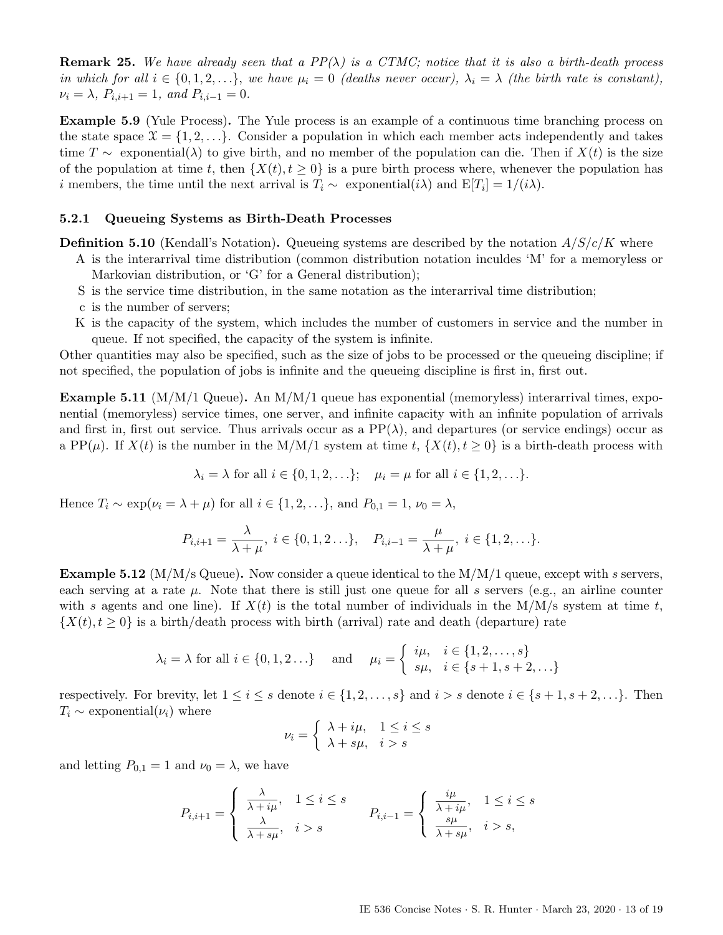**Remark 25.** We have already seen that a  $PP(\lambda)$  is a CTMC; notice that it is also a birth-death process in which for all  $i \in \{0, 1, 2, \ldots\}$ , we have  $\mu_i = 0$  (deaths never occur),  $\lambda_i = \lambda$  (the birth rate is constant),  $\nu_i = \lambda$ ,  $P_{i,i+1} = 1$ , and  $P_{i,i-1} = 0$ .

Example 5.9 (Yule Process). The Yule process is an example of a continuous time branching process on the state space  $\mathfrak{X} = \{1, 2, \ldots\}$ . Consider a population in which each member acts independently and takes time T ∼ exponential( $\lambda$ ) to give birth, and no member of the population can die. Then if  $X(t)$  is the size of the population at time t, then  $\{X(t), t \ge 0\}$  is a pure birth process where, whenever the population has i members, the time until the next arrival is  $T_i \sim$  exponential $(i\lambda)$  and  $E[T_i] = 1/(i\lambda)$ .

### <span id="page-12-0"></span>5.2.1 Queueing Systems as Birth-Death Processes

**Definition 5.10** (Kendall's Notation). Queueing systems are described by the notation  $A/S/c/K$  where

A is the interarrival time distribution (common distribution notation inculdes 'M' for a memoryless or Markovian distribution, or 'G' for a General distribution);

- S is the service time distribution, in the same notation as the interarrival time distribution;
- c is the number of servers;
- K is the capacity of the system, which includes the number of customers in service and the number in queue. If not specified, the capacity of the system is infinite.

Other quantities may also be specified, such as the size of jobs to be processed or the queueing discipline; if not specified, the population of jobs is infinite and the queueing discipline is first in, first out.

<span id="page-12-1"></span>**Example 5.11** (M/M/1 Queue). An  $M/M/1$  queue has exponential (memoryless) interarrival times, exponential (memoryless) service times, one server, and infinite capacity with an infinite population of arrivals and first in, first out service. Thus arrivals occur as a  $PP(\lambda)$ , and departures (or service endings) occur as a PP( $\mu$ ). If  $X(t)$  is the number in the M/M/1 system at time t,  $\{X(t), t \geq 0\}$  is a birth-death process with

$$
\lambda_i = \lambda \text{ for all } i \in \{0, 1, 2, \ldots\}; \quad \mu_i = \mu \text{ for all } i \in \{1, 2, \ldots\}.
$$

Hence  $T_i \sim \exp(\nu_i = \lambda + \mu)$  for all  $i \in \{1, 2, \ldots\}$ , and  $P_{0,1} = 1$ ,  $\nu_0 = \lambda$ ,

$$
P_{i,i+1} = \frac{\lambda}{\lambda + \mu}, \ i \in \{0, 1, 2 \ldots\}, \quad P_{i,i-1} = \frac{\mu}{\lambda + \mu}, \ i \in \{1, 2, \ldots\}.
$$

**Example 5.12** ( $M/M/s$  Queue). Now consider a queue identical to the  $M/M/1$  queue, except with s servers, each serving at a rate  $\mu$ . Note that there is still just one queue for all s servers (e.g., an airline counter with s agents and one line). If  $X(t)$  is the total number of individuals in the M/M/s system at time t,  $\{X(t), t \geq 0\}$  is a birth/death process with birth (arrival) rate and death (departure) rate

$$
\lambda_i = \lambda
$$
 for all  $i \in \{0, 1, 2 \ldots\}$  and  $\mu_i = \begin{cases} i\mu, & i \in \{1, 2, \ldots, s\} \\ s\mu, & i \in \{s + 1, s + 2, \ldots\} \end{cases}$ 

respectively. For brevity, let  $1 \leq i \leq s$  denote  $i \in \{1, 2, \ldots, s\}$  and  $i > s$  denote  $i \in \{s + 1, s + 2, \ldots\}$ . Then  $T_i \sim$  exponential( $\nu_i$ ) where

$$
\nu_i = \begin{cases} \lambda + i\mu, & 1 \le i \le s \\ \lambda + s\mu, & i > s \end{cases}
$$

and letting  $P_{0,1} = 1$  and  $\nu_0 = \lambda$ , we have

$$
P_{i,i+1} = \begin{cases} \frac{\lambda}{\lambda + i\mu}, & 1 \leq i \leq s \\ \frac{\lambda}{\lambda + s\mu}, & i > s \end{cases} \qquad P_{i,i-1} = \begin{cases} \frac{i\mu}{\lambda + i\mu}, & 1 \leq i \leq s \\ \frac{s\mu}{\lambda + s\mu}, & i > s, \end{cases}
$$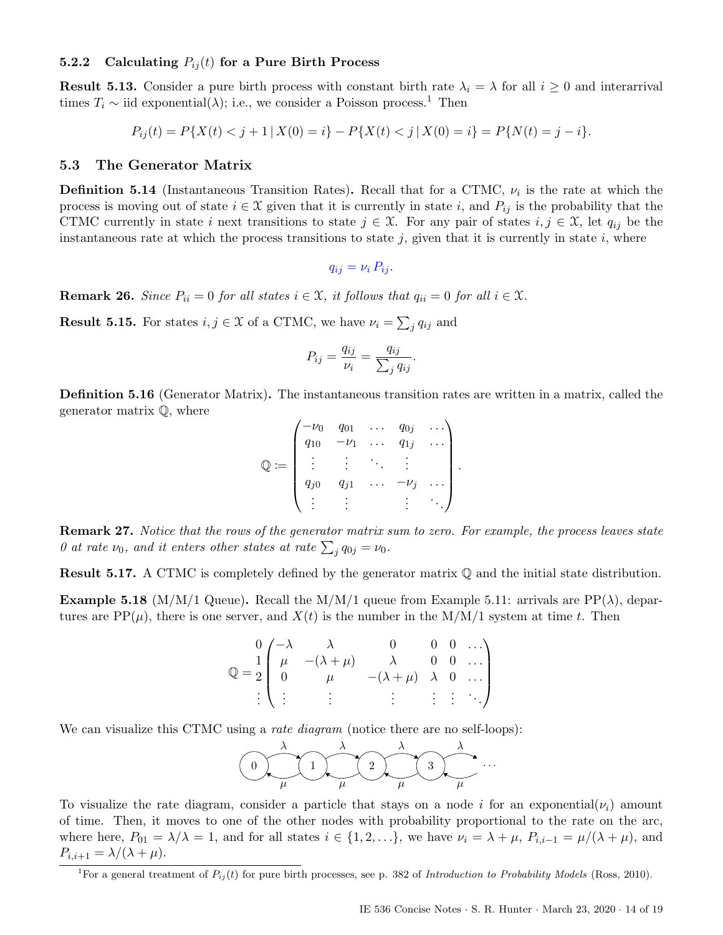### <span id="page-13-0"></span>5.2.2 Calculating  $P_{ij}(t)$  for a Pure Birth Process

**Result 5.13.** Consider a pure birth process with constant birth rate  $\lambda_i = \lambda$  for all  $i \geq 0$  and interarrival times  $T_i \sim$  iid exponential( $\lambda$ ); i.e., we consider a Poisson process.<sup>[1](#page-13-2)</sup> Then

$$
P_{ij}(t) = P\{X(t) < j+1 \mid X(0) = i\} - P\{X(t) < j \mid X(0) = i\} = P\{N(t) = j - i\}.
$$

#### <span id="page-13-1"></span>5.3 The Generator Matrix

**Definition 5.14** (Instantaneous Transition Rates). Recall that for a CTMC,  $\nu_i$  is the rate at which the process is moving out of state  $i \in \mathcal{X}$  given that it is currently in state i, and  $P_{ij}$  is the probability that the CTMC currently in state i next transitions to state  $j \in \mathcal{X}$ . For any pair of states  $i, j \in \mathcal{X}$ , let  $q_{ij}$  be the instantaneous rate at which the process transitions to state  $j$ , given that it is currently in state  $i$ , where

$$
q_{ij} = \nu_i P_{ij}.
$$

**Remark 26.** Since  $P_{ii} = 0$  for all states  $i \in \mathcal{X}$ , it follows that  $q_{ii} = 0$  for all  $i \in \mathcal{X}$ .

**Result 5.15.** For states  $i, j \in \mathcal{X}$  of a CTMC, we have  $\nu_i = \sum_j q_{ij}$  and

$$
P_{ij} = \frac{q_{ij}}{\nu_i} = \frac{q_{ij}}{\sum_j q_{ij}}.
$$

Definition 5.16 (Generator Matrix). The instantaneous transition rates are written in a matrix, called the generator matrix Q, where

$$
\mathbb{Q} := \begin{pmatrix} -\nu_0 & q_{01} & \cdots & q_{0j} & \cdots \\ q_{10} & -\nu_1 & \cdots & q_{1j} & \cdots \\ \vdots & \vdots & \ddots & \vdots & \vdots \\ q_{j0} & q_{j1} & \cdots & -\nu_j & \cdots \\ \vdots & \vdots & \vdots & \vdots & \ddots \end{pmatrix}
$$

.

**Remark 27.** Notice that the rows of the generator matrix sum to zero. For example, the process leaves state 0 at rate  $\nu_0$ , and it enters other states at rate  $\sum_j q_{0j} = \nu_0$ .

Result 5.17. A CTMC is completely defined by the generator matrix Q and the initial state distribution.

**Example 5.18** (M/M/1 Queue). Recall the M/M/1 queue from Example [5.11:](#page-12-1) arrivals are  $PP(\lambda)$ , departures are  $PP(\mu)$ , there is one server, and  $X(t)$  is the number in the M/M/1 system at time t. Then

$$
\mathbb{Q} = \frac{1}{2} \begin{pmatrix} -\lambda & \lambda & 0 & 0 & 0 & \dots \\ \mu & -(\lambda + \mu) & \lambda & 0 & 0 & \dots \\ 0 & \mu & -(\lambda + \mu) & \lambda & 0 & \dots \\ \vdots & \vdots & \vdots & \vdots & \vdots & \vdots \end{pmatrix}
$$

We can visualize this CTMC using a *rate diagram* (notice there are no self-loops):

$$
\underbrace{\bigodot}_{\mu}\underbrace{\lambda}_{\mu}\underbrace{\lambda}_{\mu}\underbrace{\lambda}_{\mu}\underbrace{\lambda}_{\mu}\cdots
$$

To visualize the rate diagram, consider a particle that stays on a node i for an exponential( $\nu_i$ ) amount of time. Then, it moves to one of the other nodes with probability proportional to the rate on the arc, where here,  $P_{01} = \lambda/\lambda = 1$ , and for all states  $i \in \{1, 2, \ldots\}$ , we have  $\nu_i = \lambda + \mu$ ,  $P_{i,i-1} = \mu/(\lambda + \mu)$ , and  $P_{i,i+1} = \lambda/(\lambda + \mu).$ 

<span id="page-13-2"></span><sup>&</sup>lt;sup>1</sup>For a general treatment of  $P_{ij}(t)$  for pure birth processes, see p. 382 of Introduction to Probability Models (Ross, 2010).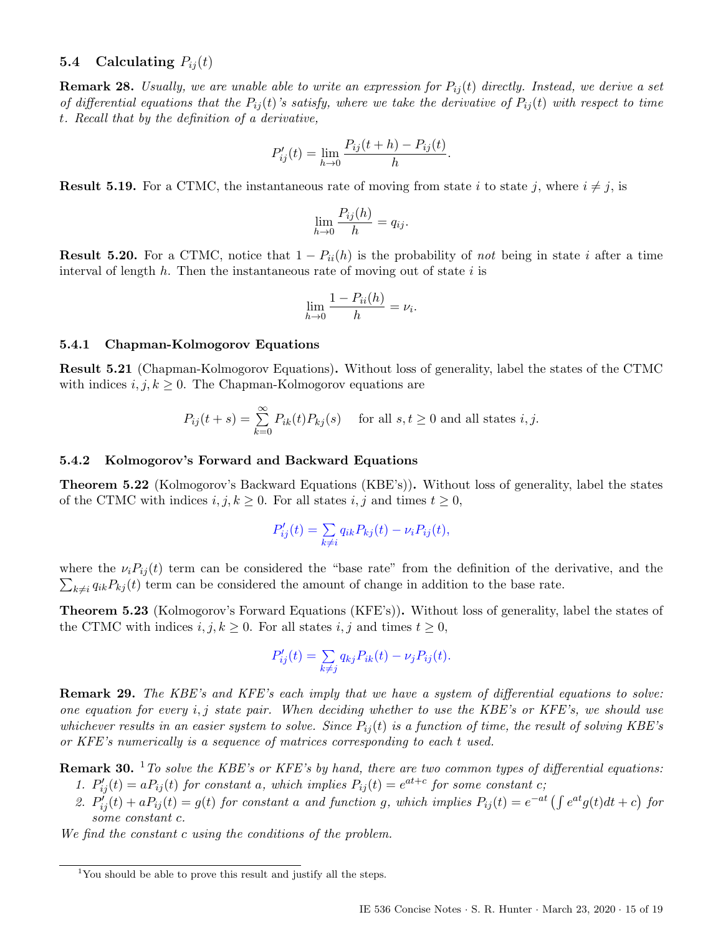### <span id="page-14-0"></span>**5.4** Calculating  $P_{ij}(t)$

**Remark 28.** Usually, we are unable able to write an expression for  $P_{ij}(t)$  directly. Instead, we derive a set of differential equations that the  $P_{ij}(t)$ 's satisfy, where we take the derivative of  $P_{ij}(t)$  with respect to time t. Recall that by the definition of a derivative,

$$
P'_{ij}(t) = \lim_{h \to 0} \frac{P_{ij}(t+h) - P_{ij}(t)}{h}.
$$

**Result 5.19.** For a CTMC, the instantaneous rate of moving from state i to state j, where  $i \neq j$ , is

$$
\lim_{h \to 0} \frac{P_{ij}(h)}{h} = q_{ij}.
$$

**Result 5.20.** For a CTMC, notice that  $1 - P_{ii}(h)$  is the probability of not being in state i after a time interval of length  $h$ . Then the instantaneous rate of moving out of state i is

$$
\lim_{h \to 0} \frac{1 - P_{ii}(h)}{h} = \nu_i.
$$

#### <span id="page-14-1"></span>5.4.1 Chapman-Kolmogorov Equations

Result 5.21 (Chapman-Kolmogorov Equations). Without loss of generality, label the states of the CTMC with indices  $i, j, k \geq 0$ . The Chapman-Kolmogorov equations are

$$
P_{ij}(t+s) = \sum_{k=0}^{\infty} P_{ik}(t) P_{kj}(s) \quad \text{ for all } s, t \ge 0 \text{ and all states } i, j.
$$

#### <span id="page-14-2"></span>5.4.2 Kolmogorov's Forward and Backward Equations

Theorem 5.22 (Kolmogorov's Backward Equations (KBE's)). Without loss of generality, label the states of the CTMC with indices  $i, j, k \geq 0$ . For all states  $i, j$  and times  $t \geq 0$ ,

$$
P'_{ij}(t) = \sum_{k \neq i} q_{ik} P_{kj}(t) - \nu_i P_{ij}(t),
$$

 $\sum_{k\neq i} q_{ik}P_{kj}(t)$  term can be considered the amount of change in addition to the base rate. where the  $\nu_i P_{ij}(t)$  term can be considered the "base rate" from the definition of the derivative, and the

Theorem 5.23 (Kolmogorov's Forward Equations (KFE's)). Without loss of generality, label the states of the CTMC with indices  $i, j, k \geq 0$ . For all states  $i, j$  and times  $t \geq 0$ ,

$$
P'_{ij}(t) = \sum_{k \neq j} q_{kj} P_{ik}(t) - \nu_j P_{ij}(t).
$$

Remark 29. The KBE's and KFE's each imply that we have a system of differential equations to solve: one equation for every  $i, j$  state pair. When deciding whether to use the KBE's or KFE's, we should use whichever results in an easier system to solve. Since  $P_{ij}(t)$  is a function of time, the result of solving KBE's or KFE's numerically is a sequence of matrices corresponding to each t used.

**Remark 30.** <sup>[1](#page-14-3)</sup> To solve the KBE's or KFE's by hand, there are two common types of differential equations:

- 1.  $P'_{ij}(t) = aP_{ij}(t)$  for constant a, which implies  $P_{ij}(t) = e^{at+c}$  for some constant c;
- 2.  $P'_{ij}(t) + aP_{ij}(t) = g(t)$  for constant a and function g, which implies  $P_{ij}(t) = e^{-at} \left( \int e^{at}g(t)dt + c \right)$  for some constant c.

We find the constant c using the conditions of the problem.

<span id="page-14-3"></span> $1$ You should be able to prove this result and justify all the steps.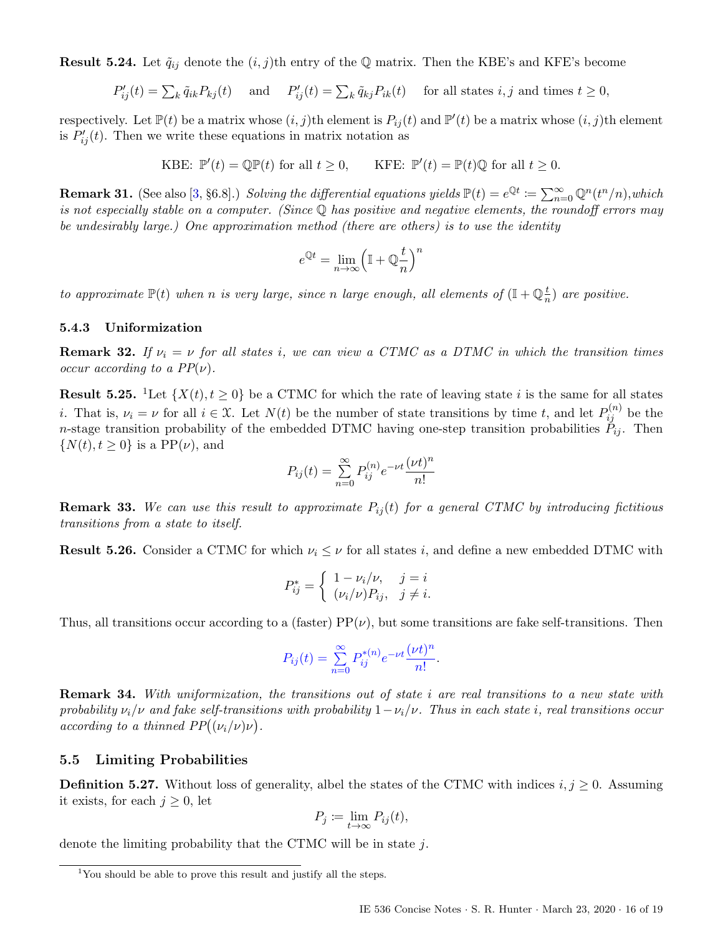**Result 5.24.** Let  $\tilde{q}_{ij}$  denote the  $(i, j)$ th entry of the Q matrix. Then the KBE's and KFE's become

$$
P'_{ij}(t) = \sum_{k} \tilde{q}_{ik} P_{kj}(t) \quad \text{ and } \quad P'_{ij}(t) = \sum_{k} \tilde{q}_{kj} P_{ik}(t) \quad \text{ for all states } i, j \text{ and times } t \ge 0,
$$

respectively. Let  $\mathbb{P}(t)$  be a matrix whose  $(i, j)$ th element is  $P_{ij}(t)$  and  $\mathbb{P}'(t)$  be a matrix whose  $(i, j)$ th element is  $P'_{ij}(t)$ . Then we write these equations in matrix notation as

> KBE:  $\mathbb{P}'(t) = \mathbb{Q}\mathbb{P}(t)$  for all  $t \geq 0$ , KFE:  $\mathbb{P}$  $\mathcal{O}'(t) = \mathbb{P}(t) \mathbb{Q}$  for all  $t \geq 0$ .

**Remark 31.** (See also [\[3,](#page-18-1) §6.8].) Solving the differential equations yields  $\mathbb{P}(t) = e^{\mathbb{Q}t} \coloneqq \sum_{n=0}^{\infty} \mathbb{Q}^n(t^n/n)$ , which is not especially stable on a computer. (Since Q has positive and negative elements, the roundoff errors may be undesirably large.) One approximation method (there are others) is to use the identity

$$
e^{\mathbb{Q} t}=\lim_{n\to\infty}\Bigl(\mathbb{I}+\mathbb{Q}\frac{t}{n}\Bigr)^n
$$

to approximate  $\mathbb{P}(t)$  when n is very large, since n large enough, all elements of  $(\mathbb{I} + \mathbb{Q}_{n}^{\frac{t}{n}})$  $\frac{t}{n}$ ) are positive.

### <span id="page-15-0"></span>5.4.3 Uniformization

**Remark 32.** If  $\nu_i = \nu$  for all states i, we can view a CTMC as a DTMC in which the transition times occur according to a  $PP(\nu)$ .

**Result 5.25.** <sup>[1](#page-15-2)</sup>Let  $\{X(t), t \geq 0\}$  be a CTMC for which the rate of leaving state i is the same for all states *i*. That is,  $\nu_i = \nu$  for all  $i \in \mathcal{X}$ . Let  $N(t)$  be the number of state transitions by time t, and let  $P_{ij}^{(n)}$  be the n-stage transition probability of the embedded DTMC having one-step transition probabilities  $P_{ij}$ . Then  $\{N(t), t \geq 0\}$  is a PP( $\nu$ ), and

$$
P_{ij}(t) = \sum_{n=0}^{\infty} P_{ij}^{(n)} e^{-\nu t} \frac{(\nu t)^n}{n!}
$$

**Remark 33.** We can use this result to approximate  $P_{ij}(t)$  for a general CTMC by introducing fictitious transitions from a state to itself.

**Result 5.26.** Consider a CTMC for which  $\nu_i \leq \nu$  for all states i, and define a new embedded DTMC with

$$
P_{ij}^* = \begin{cases} 1 - \nu_i/\nu, & j = i \\ (\nu_i/\nu)P_{ij}, & j \neq i. \end{cases}
$$

Thus, all transitions occur according to a (faster)  $PP(\nu)$ , but some transitions are fake self-transitions. Then

$$
P_{ij}(t) = \sum_{n=0}^{\infty} P_{ij}^{*(n)} e^{-\nu t} \frac{(\nu t)^n}{n!}.
$$

Remark 34. With uniformization, the transitions out of state i are real transitions to a new state with probability  $\nu_i/\nu$  and fake self-transitions with probability  $1-\nu_i/\nu$ . Thus in each state i, real transitions occur according to a thinned  $PP((\nu_i/\nu)\nu)$ .

### <span id="page-15-1"></span>5.5 Limiting Probabilities

**Definition 5.27.** Without loss of generality, albel the states of the CTMC with indices  $i, j \ge 0$ . Assuming it exists, for each  $j \geq 0$ , let

$$
P_j \coloneqq \lim_{t \to \infty} P_{ij}(t),
$$

denote the limiting probability that the CTMC will be in state j.

<span id="page-15-2"></span><sup>&</sup>lt;sup>1</sup>You should be able to prove this result and justify all the steps.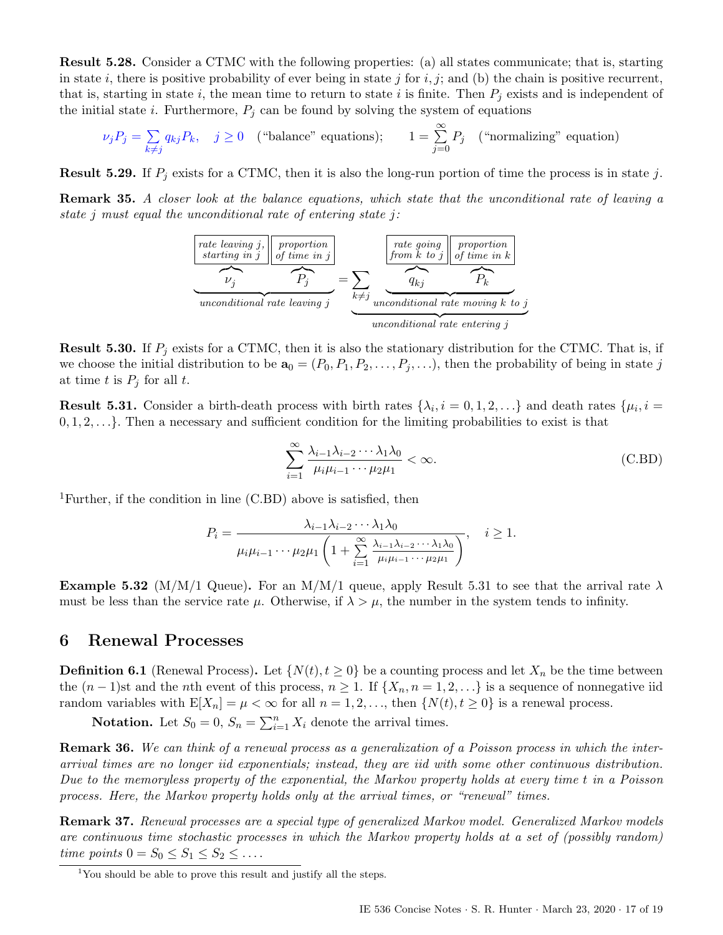Result 5.28. Consider a CTMC with the following properties: (a) all states communicate; that is, starting in state i, there is positive probability of ever being in state j for i, j; and (b) the chain is positive recurrent, that is, starting in state i, the mean time to return to state i is finite. Then  $P_i$  exists and is independent of the initial state *i*. Furthermore,  $P_j$  can be found by solving the system of equations

$$
\nu_j P_j = \sum_{k \neq j} q_{kj} P_k, \quad j \geq 0 \quad \text{("balance" equations)}; \qquad 1 = \sum_{j=0}^{\infty} P_j \quad \text{("normalizing" equation)}
$$

**Result 5.29.** If  $P_i$  exists for a CTMC, then it is also the long-run portion of time the process is in state j.

Remark 35. A closer look at the balance equations, which state that the unconditional rate of leaving a state j must equal the unconditional rate of entering state j:

| rate leaving j               | proportion<br>starting in j                                       | proportion<br>of time in j | rate going<br>from k to j | proportion in k |
|------------------------------|-------------------------------------------------------------------|----------------------------|---------------------------|-----------------|
| $V_j$                        | $P_j$                                                             | $\sum_{k \neq j}$          | $q_{kj}$                  | $P_k$           |
| unconditional rate leaving j | unconditional rate moving k to j<br>unconditional rate entering j |                            |                           |                 |

**Result 5.30.** If  $P_i$  exists for a CTMC, then it is also the stationary distribution for the CTMC. That is, if we choose the initial distribution to be  $\mathbf{a}_0 = (P_0, P_1, P_2, \ldots, P_j, \ldots)$ , then the probability of being in state j at time t is  $P_j$  for all t.

<span id="page-16-3"></span>**Result 5.31.** Consider a birth-death process with birth rates  $\{\lambda_i, i = 0, 1, 2, ...\}$  and death rates  $\{\mu_i, i = 0, 1, 2, ...\}$  $0, 1, 2, \ldots$ . Then a necessary and sufficient condition for the limiting probabilities to exist is that

<span id="page-16-2"></span>
$$
\sum_{i=1}^{\infty} \frac{\lambda_{i-1}\lambda_{i-2}\cdots\lambda_1\lambda_0}{\mu_i\mu_{i-1}\cdots\mu_2\mu_1} < \infty. \tag{C.BD}
$$

<sup>[1](#page-16-1)</sup>Further, if the condition in line [\(C.BD\)](#page-16-2) above is satisfied, then

$$
P_i = \frac{\lambda_{i-1}\lambda_{i-2}\cdots\lambda_1\lambda_0}{\mu_i\mu_{i-1}\cdots\mu_2\mu_1\left(1+\sum_{i=1}^{\infty}\frac{\lambda_{i-1}\lambda_{i-2}\cdots\lambda_1\lambda_0}{\mu_i\mu_{i-1}\cdots\mu_2\mu_1}\right)}, \quad i \ge 1.
$$

**Example 5.32** (M/M/1 Queue). For an M/M/1 queue, apply Result [5.31](#page-16-3) to see that the arrival rate  $\lambda$ must be less than the service rate  $\mu$ . Otherwise, if  $\lambda > \mu$ , the number in the system tends to infinity.

## <span id="page-16-0"></span>6 Renewal Processes

**Definition 6.1** (Renewal Process). Let  $\{N(t), t \ge 0\}$  be a counting process and let  $X_n$  be the time between the  $(n-1)$ st and the nth event of this process,  $n \geq 1$ . If  $\{X_n, n = 1, 2, ...\}$  is a sequence of nonnegative iid random variables with  $E[X_n] = \mu < \infty$  for all  $n = 1, 2, \ldots$ , then  $\{N(t), t \ge 0\}$  is a renewal process.

**Notation.** Let  $S_0 = 0$ ,  $S_n = \sum_{i=1}^n X_i$  denote the arrival times.

Remark 36. We can think of a renewal process as a generalization of a Poisson process in which the interarrival times are no longer iid exponentials; instead, they are iid with some other continuous distribution. Due to the memoryless property of the exponential, the Markov property holds at every time t in a Poisson process. Here, the Markov property holds only at the arrival times, or "renewal" times.

Remark 37. Renewal processes are a special type of generalized Markov model. Generalized Markov models are continuous time stochastic processes in which the Markov property holds at a set of (possibly random) time points  $0 = S_0 \leq S_1 \leq S_2 \leq \ldots$ 

<span id="page-16-1"></span><sup>&</sup>lt;sup>1</sup>You should be able to prove this result and justify all the steps.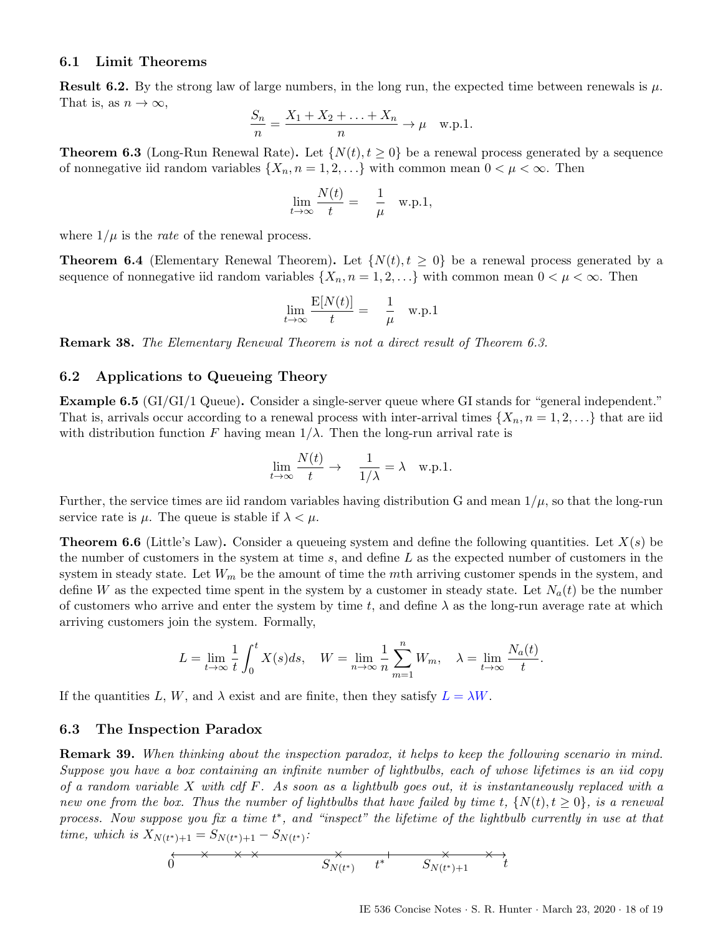### <span id="page-17-0"></span>6.1 Limit Theorems

**Result 6.2.** By the strong law of large numbers, in the long run, the expected time between renewals is  $\mu$ . That is, as  $n \to \infty$ ,

$$
\frac{S_n}{n} = \frac{X_1 + X_2 + \dots + X_n}{n} \to \mu \quad \text{w.p.1.}
$$

<span id="page-17-3"></span>**Theorem 6.3** (Long-Run Renewal Rate). Let  $\{N(t), t \geq 0\}$  be a renewal process generated by a sequence of nonnegative iid random variables  $\{X_n, n = 1, 2, ...\}$  with common mean  $0 < \mu < \infty$ . Then

$$
\lim_{t \to \infty} \frac{N(t)}{t} = \frac{1}{\mu} \quad \text{w.p.1},
$$

where  $1/\mu$  is the *rate* of the renewal process.

**Theorem 6.4** (Elementary Renewal Theorem). Let  $\{N(t), t \geq 0\}$  be a renewal process generated by a sequence of nonnegative iid random variables  $\{X_n, n = 1, 2, \ldots\}$  with common mean  $0 < \mu < \infty$ . Then

$$
\lim_{t \to \infty} \frac{\mathcal{E}[N(t)]}{t} = \frac{1}{\mu} \quad \text{w.p.1}
$$

Remark 38. The Elementary Renewal Theorem is not a direct result of Theorem [6.3.](#page-17-3)

### <span id="page-17-1"></span>6.2 Applications to Queueing Theory

Example 6.5 (GI/GI/1 Queue). Consider a single-server queue where GI stands for "general independent." That is, arrivals occur according to a renewal process with inter-arrival times  $\{X_n, n = 1, 2, \ldots\}$  that are iid with distribution function F having mean  $1/\lambda$ . Then the long-run arrival rate is

$$
\lim_{t \to \infty} \frac{N(t)}{t} \to \frac{1}{1/\lambda} = \lambda \quad \text{w.p.1.}
$$

Further, the service times are iid random variables having distribution G and mean  $1/\mu$ , so that the long-run service rate is  $\mu$ . The queue is stable if  $\lambda < \mu$ .

**Theorem 6.6** (Little's Law). Consider a queueing system and define the following quantities. Let  $X(s)$  be the number of customers in the system at time  $s$ , and define  $L$  as the expected number of customers in the system in steady state. Let  $W_m$  be the amount of time the mth arriving customer spends in the system, and define W as the expected time spent in the system by a customer in steady state. Let  $N_a(t)$  be the number of customers who arrive and enter the system by time t, and define  $\lambda$  as the long-run average rate at which arriving customers join the system. Formally,

$$
L=\lim_{t\to\infty}\frac{1}{t}\int_0^tX(s)ds,\quad W=\lim_{n\to\infty}\frac{1}{n}\sum_{m=1}^nW_m,\quad \lambda=\lim_{t\to\infty}\frac{N_a(t)}{t}.
$$

If the quantities L, W, and  $\lambda$  exist and are finite, then they satisfy  $L = \lambda W$ .

### <span id="page-17-2"></span>6.3 The Inspection Paradox

Remark 39. When thinking about the inspection paradox, it helps to keep the following scenario in mind. Suppose you have a box containing an infinite number of lightbulbs, each of whose lifetimes is an iid copy of a random variable  $X$  with cdf  $F$ . As soon as a lightbulb goes out, it is instantaneously replaced with a new one from the box. Thus the number of lightbulbs that have failed by time t,  $\{N(t), t \geq 0\}$ , is a renewal process. Now suppose you fix a time  $t^*$ , and "inspect" the lifetime of the lightbulb currently in use at that time, which is  $X_{N(t^*)+1} = S_{N(t^*)+1} - S_{N(t^*)}$ :

$$
\begin{array}{ccccc}\n & \times & \times & \times & \longrightarrow & \longrightarrow & \longrightarrow & \longrightarrow & \longrightarrow \\
0 & & & S_{N(t^*)} & t^* & & S_{N(t^*)+1} & & t\n\end{array}
$$